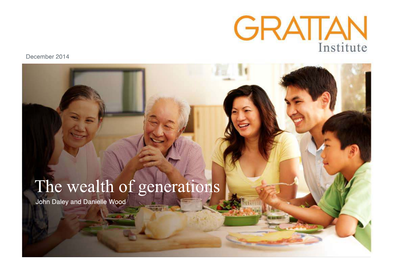

December 2014

# The wealth of generations

John Daley and Danielle Wood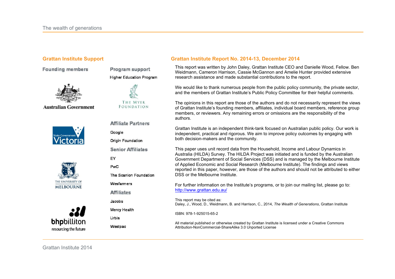**Founding members** 

Program support **Higher Education Program** 

THE MYER

FOUNDATION

**Affiliate Partners** 

The Scanlon Foundation

Wesfarmers

**Affiliates** 

Mercy Health

Jacobs

**Urbis** 

Westpac

**Origin Foundation Senior Affiliates** 

Google

EY **PwC** 



**Australian Government** 







#### **Grattan Institute Support Grattan Institute Report No. 2014-13, December 2014**

This report was written by John Daley, Grattan Institute CEO and Danielle Wood, Fellow. Ben Weidmann, Cameron Harrison, Cassie McGannon and Amelie Hunter provided extensive research assistance and made substantial contributions to the report.

We would like to thank numerous people from the public policy community, the private sector, and the members of Grattan Institute's Public Policy Committee for their helpful comments.

The opinions in this report are those of the authors and do not necessarily represent the views of Grattan Institute's founding members, affiliates, individual board members, reference group members, or reviewers. Any remaining errors or omissions are the responsibility of the authors.

Grattan Institute is an independent think-tank focused on Australian public policy. Our work is independent, practical and rigorous. We aim to improve policy outcomes by engaging with both decision-makers and the community.

This paper uses unit record data from the Household, Income and Labour Dynamics in Australia (HILDA) Survey. The HILDA Project was initiated and is funded by the Australian Government Department of Social Services (DSS) and is managed by the Melbourne Institute of Applied Economic and Social Research (Melbourne Institute). The findings and views reported in this paper, however, are those of the authors and should not be attributed to either DSS or the Melbourne Institute.

For further information on the Institute's programs, or to join our mailing list, please go to: http://www.grattan.edu.au/

This report may be cited as: Daley, J., Wood, D., Weidmann, B. and Harrison, C., 2014, *The Wealth of Generations*, Grattan Institute

ISBN: 978-1-925015-65-2

All material published or otherwise created by Grattan Institute is licensed under a Creative Commons Attribution-NonCommercial-ShareAlike 3.0 Unported License

Grattan Institute 2014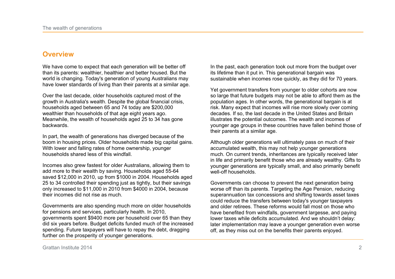## **Overview**

We have come to expect that each generation will be better off than its parents: wealthier, healthier and better housed. But the world is changing. Today's generation of young Australians may have lower standards of living than their parents at a similar age.

Over the last decade, older households captured most of the growth in Australia's wealth. Despite the global financial crisis, households aged between 65 and 74 today are \$200,000 wealthier than households of that age eight years ago. Meanwhile, the wealth of households aged 25 to 34 has gone backwards.

In part, the wealth of generations has diverged because of the boom in housing prices. Older households made big capital gains. With lower and falling rates of home ownership, younger households shared less of this windfall.

Incomes also grew fastest for older Australians, allowing them to add more to their wealth by saving. Households aged 55-64 saved \$12,000 in 2010, up from \$1000 in 2004. Households aged 25 to 34 controlled their spending just as tightly, but their savings only increased to \$11,000 in 2010 from \$4000 in 2004, because their incomes did not rise as much.

Governments are also spending much more on older households for pensions and services, particularly health. In 2010, governments spent \$9400 more per household over 65 than they did six years before. Budget deficits funded much of the increased spending. Future taxpayers will have to repay the debt, dragging further on the prosperity of younger generations.

In the past, each generation took out more from the budget over its lifetime than it put in. This generational bargain was sustainable when incomes rose quickly, as they did for 70 years.

Yet government transfers from younger to older cohorts are now so large that future budgets may not be able to afford them as the population ages. In other words, the generational bargain is at risk. Many expect that incomes will rise more slowly over coming decades. If so, the last decade in the United States and Britain illustrates the potential outcomes. The wealth and incomes of younger age groups in these countries have fallen behind those of their parents at a similar age.

Although older generations will ultimately pass on much of their accumulated wealth, this may not help younger generations much. On current trends, inheritances are typically received later in life and primarily benefit those who are already wealthy. Gifts to younger generations are typically small, and also primarily benefit well-off households.

Governments can choose to prevent the next generation being worse off than its parents. Targeting the Age Pension, reducing superannuation tax concessions and shifting towards asset taxes could reduce the transfers between today's younger taxpayers and older retirees. These reforms would fall most on those who have benefited from windfalls, government largesse, and paying lower taxes while deficits accumulated. And we shouldn't delay: later implementation may leave a younger generation even worse off, as they miss out on the benefits their parents enjoyed.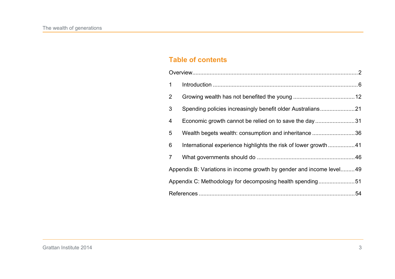## **Table of contents**

| $\mathbf 1$    |                                                                      |  |  |
|----------------|----------------------------------------------------------------------|--|--|
| 2 <sup>1</sup> |                                                                      |  |  |
| 3 <sup>1</sup> | Spending policies increasingly benefit older Australians21           |  |  |
| 4              | Economic growth cannot be relied on to save the day31                |  |  |
| 5              | Wealth begets wealth: consumption and inheritance 36                 |  |  |
| 6              | International experience highlights the risk of lower growth 41      |  |  |
| 7 <sup>1</sup> |                                                                      |  |  |
|                | Appendix B: Variations in income growth by gender and income level49 |  |  |
|                | Appendix C: Methodology for decomposing health spending51            |  |  |
|                |                                                                      |  |  |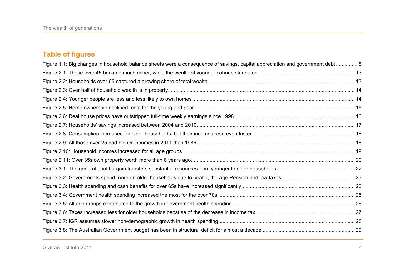## **Table of figures**

| Figure 1.1: Big changes in household balance sheets were a consequence of savings, capital appreciation and government debt 8 |  |
|-------------------------------------------------------------------------------------------------------------------------------|--|
|                                                                                                                               |  |
|                                                                                                                               |  |
|                                                                                                                               |  |
|                                                                                                                               |  |
|                                                                                                                               |  |
|                                                                                                                               |  |
|                                                                                                                               |  |
|                                                                                                                               |  |
|                                                                                                                               |  |
|                                                                                                                               |  |
|                                                                                                                               |  |
|                                                                                                                               |  |
|                                                                                                                               |  |
|                                                                                                                               |  |
|                                                                                                                               |  |
|                                                                                                                               |  |
|                                                                                                                               |  |
|                                                                                                                               |  |
|                                                                                                                               |  |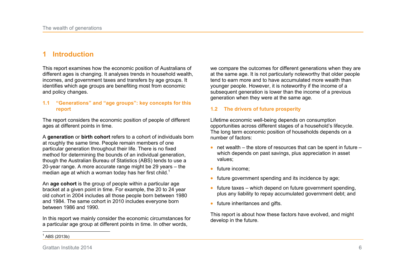## **1 Introduction**

This report examines how the economic position of Australians of different ages is changing. It analyses trends in household wealth, incomes, and government taxes and transfers by age groups. It identifies which age groups are benefiting most from economic and policy changes.

#### **1.1 "Generations" and "age groups": key concepts for this report**

The report considers the economic position of people of different ages at different points in time.

A **generation** or **birth cohort** refers to a cohort of individuals born at roughly the same time. People remain members of one particular generation throughout their life. There is no fixed method for determining the bounds of an individual generation, though the Australian Bureau of Statistics (ABS) tends to use a 20-year range. A more accurate range might be 29 years – the median age at which a woman today has her first child.<sup>1</sup>

An **age cohort** is the group of people within a particular age bracket at a given point in time. For example, the 20 to 24 year old cohort in 2004 includes all those people born between 1980 and 1984. The same cohort in 2010 includes everyone born between 1986 and 1990.

In this report we mainly consider the economic circumstances for a particular age group at different points in time. In other words,

we compare the outcomes for different generations when they are at the same age. It is not particularly noteworthy that older people tend to earn more and to have accumulated more wealth than younger people. However, it is noteworthy if the income of a subsequent generation is lower than the income of a previous generation when they were at the same age.

#### **1.2 The drivers of future prosperity**

Lifetime economic well-being depends on consumption opportunities across different stages of a household's lifecycle. The long term economic position of households depends on a number of factors:

- $\bullet$  net wealth the store of resources that can be spent in future which depends on past savings, plus appreciation in asset values;
- $\bullet$  future income:
- future government spending and its incidence by age;
- $\bullet$  future taxes which depend on future government spending, plus any liability to repay accumulated government debt; and
- $\bullet$  future inheritances and gifts.

This report is about how these factors have evolved, and might develop in the future.

 $\frac{1}{2}$  $1^1$  ABS (2013b)

Grattan Institute 2014 6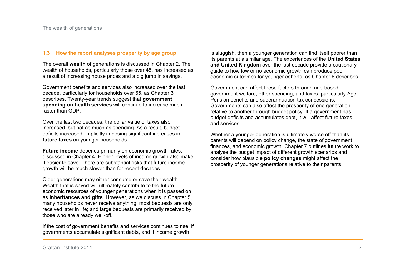#### **1.3 How the report analyses prosperity by age group**

The overall **wealth** of generations is discussed in Chapter 2. The wealth of households, particularly those over 45, has increased as a result of increasing house prices and a big jump in savings.

Government benefits and services also increased over the last decade, particularly for households over 65, as Chapter 3 describes. Twenty-year trends suggest that **government spending on health services** will continue to increase much faster than GDP.

Over the last two decades, the dollar value of taxes also increased, but not as much as spending. As a result, budget deficits increased, implicitly imposing significant increases in **future taxes** on younger households.

**Future income** depends primarily on economic growth rates, discussed in Chapter 4. Higher levels of income growth also make it easier to save. There are substantial risks that future income growth will be much slower than for recent decades.

Older generations may either consume or save their wealth. Wealth that is saved will ultimately contribute to the future economic resources of younger generations when it is passed on as **inheritances and gifts**. However, as we discuss in Chapter 5, many households never receive anything; most bequests are only received later in life; and large bequests are primarily received by those who are already well-off.

If the cost of government benefits and services continues to rise, if governments accumulate significant debts, and if income growth

is sluggish, then a younger generation can find itself poorer than its parents at a similar age. The experiences of the **United States and United Kingdom** over the last decade provide a cautionary guide to how low or no economic growth can produce poor economic outcomes for younger cohorts, as Chapter 6 describes.

Government can affect these factors through age-based government welfare, other spending, and taxes, particularly Age Pension benefits and superannuation tax concessions. Governments can also affect the prosperity of one generation relative to another through budget policy. If a government has budget deficits and accumulates debt, it will affect future taxes and services.

Whether a younger generation is ultimately worse off than its parents will depend on policy change, the state of government finances, and economic growth. Chapter 7 outlines future work to analyse the budget impact of different growth scenarios and consider how plausible **policy changes** might affect the prosperity of younger generations relative to their parents.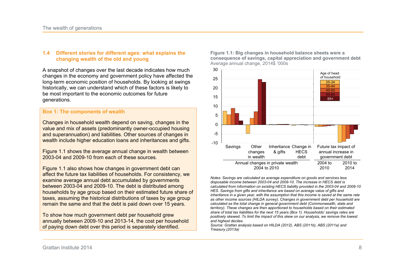#### **1.4 Different stories for different ages: what explains the changing wealth of the old and young**

A snapshot of changes over the last decade indicates how much changes in the economy and government policy have affected the long-term economic position of households. By looking at swings historically, we can understand which of these factors is likely to be most important to the economic outcomes for future generations.

#### **Box 1: The components of wealth**

Changes in household wealth depend on saving, changes in the value and mix of assets (predominantly owner-occupied housing and superannuation) and liabilities. Other sources of changes in wealth include higher education loans and inheritances and gifts.

Figure 1.1 shows the average annual change in wealth between 2003-04 and 2009-10 from each of these sources.

Figure 1.1 also shows how changes in government debt can affect the future tax liabilities of households. For consistency, we examine average annual debt accumulated by governments between 2003-04 and 2009-10. The debt is distributed among households by age group based on their estimated future share of taxes, assuming the historical distributions of taxes by age group remain the same and that the debt is paid down over 15 years.

To show how much government debt per household grew annually between 2009-10 and 2013-14, the cost per household of paying down debt over this period is separately identified.

**Figure 1.1: Big changes in household balance sheets were a consequence of savings, capital appreciation and government debt**  Average annual change, 2014\$ '000s



*Notes: Savings are calculated as average expenditure on goods and services less disposable income between 2003-04 and 2009-10. The increase in HECS debt is calculated from information on existing HECS liability provided in the 2003-04 and 2009-10 HES. Savings from gifts and inheritance are based on average value of gifts and inheritance in a given year, with the assumption that this income is saved at the same rate as other income sources (HILDA survey). Changes in government debt per household are calculated as the total change in general government debt (Commonwealth, state and territory). These changes are then apportioned to households based on their estimated share of total tax liabilities for the next 15 years (Box 1). Households' savings rates are positively skewed. To limit the impact of this skew on our analysis, we remove the lowest and highest deciles.* 

*Source: Grattan analysis based on HILDA (2012), ABS (2011b), ABS (2011a) and Treasury (2013a)*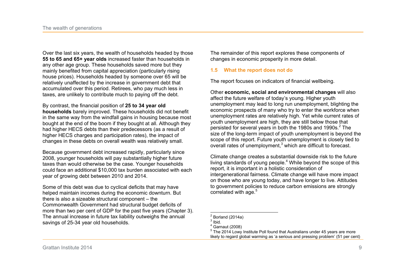Over the last six years, the wealth of households headed by those **55 to 65 and 65+ year olds** increased faster than households in any other age group. These households saved more but they mainly benefited from capital appreciation (particularly rising house prices). Households headed by someone over 65 will be relatively unaffected by the increase in government debt that accumulated over this period. Retirees, who pay much less in taxes, are unlikely to contribute much to paying off the debt.

By contrast, the financial position of **25 to 34 year old households** barely improved. These households did not benefit in the same way from the windfall gains in housing because most bought at the end of the boom if they bought at all. Although they had higher HECS debts than their predecessors (as a result of higher HECS charges and participation rates), the impact of changes in these debts on overall wealth was relatively small.

Because government debt increased rapidly, particularly since 2008, younger households will pay substantially higher future taxes than would otherwise be the case. Younger households could face an additional \$10,000 tax burden associated with each year of growing debt between 2010 and 2014.

Some of this debt was due to cyclical deficits that may have helped maintain incomes during the economic downturn. But there is also a sizeable structural component – the Commonwealth Government had structural budget deficits of more than two per cent of GDP for the past five years (Chapter 3). The annual increase in future tax liability outweighs the annual savings of 25-34 year old households.

The remainder of this report explores these components of changes in economic prosperity in more detail.

#### **1.5 What the report does not do**

The report focuses on indicators of financial wellbeing.

Other **economic, social and environmental changes** will also affect the future welfare of today's young. Higher youth unemployment may lead to long run unemployment, blighting the economic prospects of many who try to enter the workforce when unemployment rates are relatively high. Yet while current rates of youth unemployment are high, they are still below those that persisted for several years in both the 1980s and 1990s.<sup>2</sup> The size of the long-term impact of youth unemployment is beyond the scope of this report. Future youth unemployment is closely tied to overall rates of unemployment, $3$  which are difficult to forecast.

Climate change creates a substantial downside risk to the future living standards of young people.<sup>4</sup> While beyond the scope of this report, it is important in a holistic consideration of intergenerational fairness. Climate change will have more impact on those who are young today, and have longer to live. Attitudes to government policies to reduce carbon emissions are strongly correlated with age. $5$ 

 $2^2$  Borland (2014a)

 $3$  Ibid.

 $<sup>4</sup>$  Garnaut (2008)</sup>

 $<sup>5</sup>$  The 2014 Lowy Institute Poll found that Australians under 45 years are more</sup> likely to regard global warming as 'a serious and pressing problem' (51 per cent)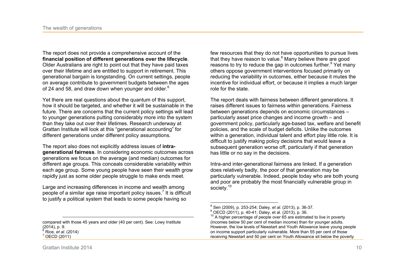The report does not provide a comprehensive account of the **financial position of different generations over the lifecycle**. Older Australians are right to point out that they have paid taxes over their lifetime and are entitled to support in retirement. This generational bargain is longstanding. On current settings, people on average contribute to government budgets between the ages of 24 and 58, and draw down when younger and older.<sup>6</sup>

Yet there are real questions about the quantum of this support, how it should be targeted, and whether it will be sustainable in the future. There are concerns that the current policy settings will lead to younger generations putting considerably more into the system than they take out over their lifetimes. Research underway at Grattan Institute will look at this "generational accounting" for different generations under different policy assumptions.

The report also does not explicitly address issues of **intragenerational fairness**. In considering economic outcomes across generations we focus on the average (and median) outcomes for different age groups. This conceals considerable variability within each age group. Some young people have seen their wealth grow rapidly just as some older people struggle to make ends meet.

Large and increasing differences in income and wealth among people of a similar age raise important policy issues.<sup>7</sup> It is difficult to justify a political system that leads to some people having so

few resources that they do not have opportunities to pursue lives that they have reason to value.<sup>8</sup> Many believe there are good reasons to try to reduce the gap in outcomes further.<sup>9</sup> Yet many others oppose government interventions focused primarily on reducing the variability in outcomes, either because it mutes the incentive for individual effort, or because it implies a much larger role for the state.

The report deals with fairness between different generations. It raises different issues to fairness within generations. Fairness between generations depends on economic circumstances – particularly asset price changes and income growth – and government policy, particularly age-based tax, welfare and benefit policies, and the scale of budget deficits. Unlike the outcomes within a generation, individual talent and effort play little role. It is difficult to justify making policy decisions that would leave a subsequent generation worse off, particularly if that generation has little or no say in the decisions.

Intra-and inter-generational fairness are linked. If a generation does relatively badly, the poor of that generation may be particularly vulnerable. Indeed, people today who are both young and poor are probably the most financially vulnerable group in society.<sup>10</sup>

 8 Sen (2009), p. 253-254; Daley*, et al.* (2013), p. 36-37.

<sup>9</sup> OECD (2011), p. 40-41; Daley, et al. (2013), p. 36.

 $10<sup>10</sup>$  A higher percentage of people over 65 are estimated to live in poverty (incomes below 50 per cent of median income) than for younger adults. However, the low levels of Newstart and Youth Allowance leave young people on income support particularly vulnerable. More than 55 per cent of those receiving Newstart and 50 per cent on Youth Allowance sit below the poverty

compared with those 45 years and older (40 per cent). See: Lowy Institute (2014), p. 9. 6 Rice*, et al.* (2014) 7 OECD (2011)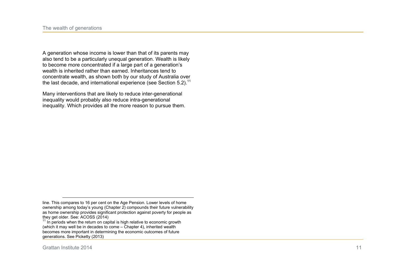A generation whose income is lower than that of its parents may also tend to be a particularly unequal generation. Wealth is likely to become more concentrated if a large part of a generation's wealth is inherited rather than earned. Inheritances tend to concentrate wealth, as shown both by our study of Australia over the last decade, and international experience (see Section 5.2).<sup>11</sup>

Many interventions that are likely to reduce inter-generational inequality would probably also reduce intra-generational inequality. Which provides all the more reason to pursue them.

line. This compares to 16 per cent on the Age Pension. Lower levels of home ownership among today's young (Chapter 2) compounds their future vulnerability as home ownership provides significant protection against poverty for people as they get older. See: ACOSS (2014)

 $11$  In periods when the return on capital is high relative to economic growth (which it may well be in decades to come  $-$  Chapter 4), inherited wealth becomes more important in determining the economic outcomes of future generations. See Picketty (2013)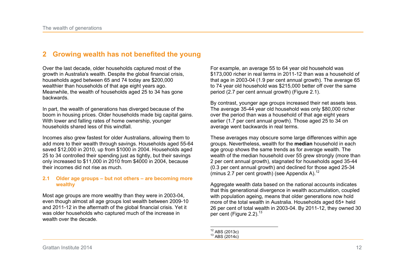## **2 Growing wealth has not benefited the young**

Over the last decade, older households captured most of the growth in Australia's wealth. Despite the global financial crisis, households aged between 65 and 74 today are \$200,000 wealthier than households of that age eight years ago. Meanwhile, the wealth of households aged 25 to 34 has gone backwards.

In part, the wealth of generations has diverged because of the boom in housing prices. Older households made big capital gains. With lower and falling rates of home ownership, younger households shared less of this windfall.

Incomes also grew fastest for older Australians, allowing them to add more to their wealth through savings. Households aged 55-64 saved \$12,000 in 2010, up from \$1000 in 2004. Households aged 25 to 34 controlled their spending just as tightly, but their savings only increased to \$11,000 in 2010 from \$4000 in 2004, because their incomes did not rise as much.

#### **2.1 Older age groups – but not others – are becoming more wealthy**

Most age groups are more wealthy than they were in 2003-04, even though almost all age groups lost wealth between 2009-10 and 2011-12 in the aftermath of the global financial crisis. Yet it was older households who captured much of the increase in wealth over the decade.

For example, an average 55 to 64 year old household was \$173,000 richer in real terms in 2011-12 than was a household of that age in 2003-04 (1.9 per cent annual growth). The average 65 to 74 year old household was \$215,000 better off over the same period (2.7 per cent annual growth) (Figure 2.1).

By contrast, younger age groups increased their net assets less. The average 35-44 year old household was only \$80,000 richer over the period than was a household of that age eight years earlier (1.7 per cent annual growth). Those aged 25 to 34 on average went backwards in real terms.

These averages may obscure some large differences within age groups. Nevertheless, wealth for the **median** household in each age group shows the same trends as for average wealth. The wealth of the median household over 55 grew strongly (more than 2 per cent annual growth), stagnated for households aged 35-44 (0.3 per cent annual growth) and declined for those aged 25-34 (minus 2.7 per cent growth) (see Appendix A).<sup>12</sup>

Aggregate wealth data based on the national accounts indicates that this generational divergence in wealth accumulation, coupled with population ageing, means that older generations now hold more of the total wealth in Australia. Households aged 65+ held 26 per cent of total wealth in 2003-04. By 2011-12, they owned 30 per cent (Figure 2.2). $13$ 

 $\overline{\phantom{a}}$  $^{12}$  ABS (2013c)  $13$  ABS (2014c)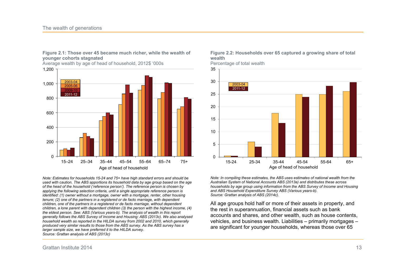

**Figure 2.1: Those over 45 became much richer, while the wealth of younger cohorts stagnated** 

Average wealth by age of head of household, 2012\$ '000s

*Note: Estimates for households 15-24 and 75+ have high standard errors and should be used with caution. The ABS apportions its household data by age group based on the age of the head of the household ('reference person'). The reference person is chosen by applying the following selection criteria, until a single appropriate reference person is identified: (1) owner without a mortgage, owner with a mortgage, renter, other housing tenure; (2) one of the partners in a registered or de facto marriage, with dependent children, one of the partners in a registered or de facto marriage, without dependent children, a lone parent with dependent children (3) the person with the highest income, (4) the eldest person. See: ABS (Various years-b). The analysis of wealth in this report generally follows the ABS Survey of Income and Housing: ABS (2013c). We also analysed household wealth as reported in the HILDA survey from 2002 and 2010, which generally produced very similar results to those from the ABS survey. As the ABS survey has a larger sample size, we have preferred it to the HILDA survey. Source: Grattan analysis of ABS (2013c)* 



Percentage of total wealth



*Note: In compiling these estimates, the ABS uses estimates of national wealth from the Australian System of National Accounts ABS (2013a) and distributes these across households by age group using information from the ABS Survey of Income and Housing and ABS Household Expenditure Survey ABS (Various years-b). Source: Grattan analysis of ABS (2014c).* 

All age groups hold half or more of their assets in property, and the rest in superannuation, financial assets such as bank accounts and shares, and other wealth, such as house contents, vehicles, and business wealth. Liabilities – primarily mortgages – are significant for younger households, whereas those over 65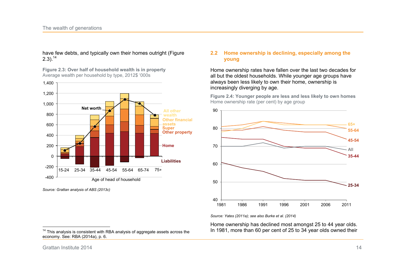have few debts, and typically own their homes outright (Figure  $2.3$ ).<sup>14</sup>

**Figure 2.3: Over half of household wealth is in property**  Average wealth per household by type, 2012\$ '000s



*Source: Grattan analysis of ABS (2013c)* 

**2.2 Home ownership is declining, especially among the young** 

Home ownership rates have fallen over the last two decades for all but the oldest households. While younger age groups have always been less likely to own their home, ownership is increasingly diverging by age.

**Figure 2.4: Younger people are less and less likely to own homes**  Home ownership rate (per cent) by age group



*Source: Yates (2011a); see also Burke et al. (2014)* 

Home ownership has declined most amongst 25 to 44 year olds. In 1981, more than 60 per cent of 25 to 34 year olds owned their

 $14$  This analysis is consistent with RBA analysis of aggregate assets across the economy. See: RBA (2014a), p. 6.

 $\frac{1}{1}$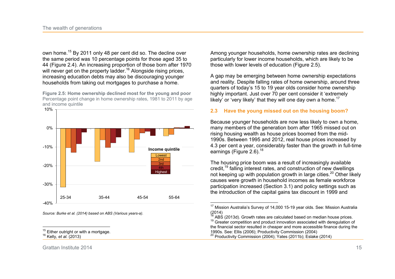own home.<sup>15</sup> By 2011 only 48 per cent did so. The decline over the same period was 10 percentage points for those aged 35 to 44 (Figure 2.4). An increasing proportion of those born after 1970 will never get on the property ladder.<sup>16</sup> Alongside rising prices, increasing education debts may also be discouraging younger households from taking out mortgages to purchase a home.

**Figure 2.5: Home ownership declined most for the young and poor**  Percentage point change in home ownership rates, 1981 to 2011 by age and income quintile



*Source: Burke et al. (2014) based on ABS (Various years-a).* 

Among younger households, home ownership rates are declining particularly for lower income households, which are likely to be those with lower levels of education (Figure 2.5).

A gap may be emerging between home ownership expectations and reality. Despite falling rates of home ownership, around three quarters of today's 15 to 19 year olds consider home ownership highly important. Just over 70 per cent consider it 'extremely likely' or 'very likely' that they will one day own a home.<sup>17</sup>

#### **2.3 Have the young missed out on the housing boom?**

Because younger households are now less likely to own a home, many members of the generation born after 1965 missed out on rising housing wealth as house prices boomed from the mid-1990s. Between 1995 and 2012, real house prices increased by 4.3 per cent a year, considerably faster than the growth in full-time earnings (Figure 2.6).<sup>18</sup>

The housing price boom was a result of increasingly available credit,<sup>19</sup> falling interest rates, and construction of new dwellings not keeping up with population growth in large cities.<sup>20</sup> Other likely causes were growth in household incomes as female workforce participation increased (Section 3.1) and policy settings such as the introduction of the capital gains tax discount in 1999 and

 $\frac{1}{1}$ 

 $15$  Either outright or with a mortgage. <sup>16</sup> Kelly*, et al.* (2013)

  $17$  Mission Australia's Survey of 14,000 15-19 year olds. See: Mission Australia (2014)

 $\frac{18}{18}$  ABS (2013d). Growth rates are calculated based on median house prices.  $19$  Greater competition and product innovation associated with deregulation of the financial sector resulted in cheaper and more accessible finance during the 1990s. See: Ellis (2006); Productivity Commission (2004) <sup>20</sup> Productivity Commission (2004); Yates (2011b); Eslake (2014)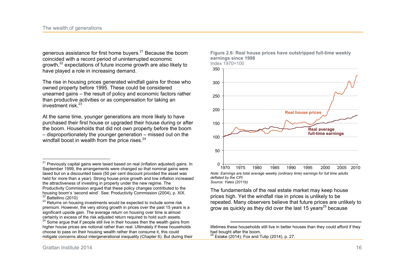generous assistance for first home buvers.<sup>21</sup> Because the boom coincided with a record period of uninterrupted economic growth,<sup>22</sup> expectations of future income growth are also likely to have played a role in increasing demand.

The rise in housing prices generated windfall gains for those who owned property before 1995. These could be considered unearned gains – the result of policy and economic factors rather than productive activities or as compensation for taking an investment risk.<sup>23</sup>

At the same time, younger generations are more likely to have purchased their first house or upgraded their house during or after the boom. Households that did not own property before the boom – disproportionately the younger generation – missed out on the windfall boost in wealth from the price rises. $24$ 



**Figure 2.6: Real house prices have outstripped full-time weekly** 

*Source: Yates (2011b)* 

<u>.</u>

**earnings since 1998** 

The fundamentals of the real estate market may keep house prices high. Yet the windfall rise in prices is unlikely to be repeated. Many observers believe that future prices are unlikely to grow as quickly as they did over the last 15 years<sup>25</sup> because

lifetimes these households still live in better houses than they could afford if they had bought after the boom.  $25$  Eslake (2014); Fox and Tulip (2014), p. 27.

 $\overline{a}$ <sup>21</sup> Previously capital gains were taxed based on real (inflation adjusted) gains. In September 1999, the arrangements were changed so that nominal gains were taxed but on a discounted basis (50 per cent discount provided the asset was held for more than a year). Strong house price growth and low inflation increased the attractiveness of investing in property under the new regime. The Productivity Commission argued that these policy changes contributed to the housing boom's 'second wind'. See: Productivity Commission (2004), p. XIX.  $22$  Battellino (2010)

 $23$  Returns on housing investments would be expected to include some risk premium. However, the very strong growth in prices over the past 15 years is a significant upside gain. The average return on housing over time is almost certainly in excess of the risk adjusted return required to hold such assets.

<sup>&</sup>lt;sup>24</sup> Some argue that if people still live in their houses then the wealth gains from higher house prices are notional rather than real. Ultimately if these households choose to pass on their housing wealth rather than consume it, this could mitigate concerns about intergenerational inequality (Chapter 6). But during their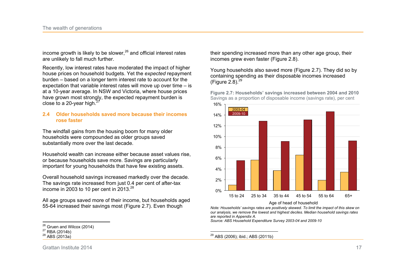income growth is likely to be slower.<sup>26</sup> and official interest rates are unlikely to fall much further.

Recently, low interest rates have moderated the impact of higher house prices on household budgets. Yet the *expected* repayment burden – based on a longer term interest rate to account for the expectation that variable interest rates will move up over time – is at a 10-year average. In NSW and Victoria, where house prices have grown most strongly, the expected repayment burden is close to a 20-year high. $27$ 

#### **2.4 Older households saved more because their incomes rose faster**

The windfall gains from the housing boom for many older households were compounded as older groups saved substantially more over the last decade.

Household wealth can increase either because asset values rise, or because households save more. Savings are particularly important for young households that have few existing assets.

Overall household savings increased markedly over the decade. The savings rate increased from just 0.4 per cent of after-tax income in 2003 to 10 per cent in  $2013.<sup>28</sup>$ 

All age groups saved more of their income, but households aged 55-64 increased their savings most (Figure 2.7). Even though

their spending increased more than any other age group, their incomes grew even faster (Figure 2.8).

Young households also saved more (Figure 2.7). They did so by containing spending as their disposable incomes increased (Figure 2.8). $^{29}$ 

**Figure 2.7: Households' savings increased between 2004 and 2010**  Savings as a proportion of disposable income (savings rate), per cent



Age of head of household

*Note: Households' savings rates are positively skewed. To limit the impact of this skew on our analysis, we remove the lowest and highest deciles. Median household savings rates are reported in Appendix A.* 

*Source: ABS Household Expenditure Survey 2003-04 and 2009-10* 

Grattan Institute 2014 17

 $\frac{1}{2}$  $^{26}_{20}$  Gruen and Wilcox (2014)

<sup>27</sup> RBA (2014b)

 $28$  ABS (2013a)

 $\overline{a}$ <sup>29</sup> ABS (2006); ibid.; ABS (2011b)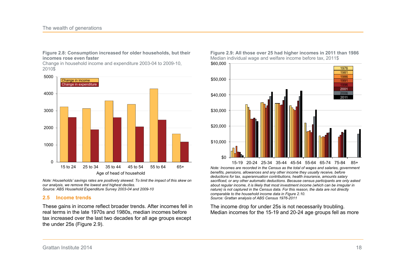#### **Figure 2.8: Consumption increased for older households, but their incomes rose even faster**

Change in household income and expenditure 2003-04 to 2009-10, 2010\$



*Note: Households' savings rates are positively skewed. To limit the impact of this skew on our analysis, we remove the lowest and highest deciles. Source: ABS Household Expenditure Survey 2003-04 and 2009-10* 

#### **2.5 Income trends**

These gains in income reflect broader trends. After incomes fell in real terms in the late 1970s and 1980s, median incomes before tax increased over the last two decades for all age groups except the under 25s (Figure 2.9).





*Note: Incomes are recorded in the Census as the total of wages and salaries, government benefits, pensions, allowances and any other income they usually receive, before deductions for tax, superannuation contributions, health insurance, amounts salary sacrificed, or any other automatic deductions. Because census participants are only asked about regular income, it is likely that most investment income (which can be irregular in nature) is not captured in the Census data. For this reason, the data are not directly comparable to the household income data in Figure 2.10. Source: Grattan analysis of ABS Census 1976-2011*  15-19 20-24 25-34 35-44 45-54 55-64 65-74 75-84 85+

The income drop for under 25s is not necessarily troubling. Median incomes for the 15-19 and 20-24 age groups fell as more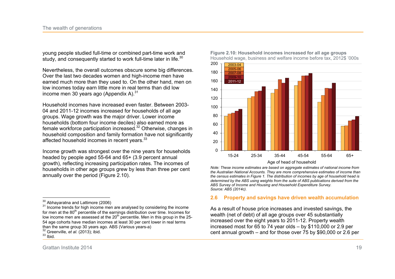young people studied full-time or combined part-time work and study, and consequently started to work full-time later in life. $^{30}$ 

Nevertheless, the overall outcomes obscure some big differences. Over the last two decades women and high-income men have earned much more than they used to. On the other hand, men on low incomes today earn little more in real terms than did low income men 30 years ago (Appendix A). $31$ 

Household incomes have increased even faster. Between 2003- 04 and 2011-12 incomes increased for households of all age groups. Wage growth was the major driver. Lower income households (bottom four income deciles) also earned more as female workforce participation increased.<sup>32</sup> Otherwise, changes in household composition and family formation have not significantly affected household incomes in recent years.<sup>33</sup>

Income growth was strongest over the nine years for households headed by people aged 55-64 and 65+ (3.9 percent annual growth), reflecting increasing participation rates. The incomes of households in other age groups grew by less than three per cent annually over the period (Figure 2.10).

**Figure 2.10: Household incomes increased for all age groups**  Household wage, business and welfare income before tax, 2012\$ '000s



*Note: These income estimates are based on aggregate estimates of national income from the Australian National Accounts. They are more comprehensive estimates of income than the census estimates in Figure 1. The distribution of incomes by age of household head is determined by the ABS using weights from the suite of ABS publications derived from the* 

#### **2.6 Property and savings have driven wealth accumulation**

*ABS Survey of Income and Housing and Household Expenditure Survey.* 

*Source: ABS (2014c).* 

As a result of house price increases and invested savings, the wealth (net of debt) of all age groups over 45 substantially increased over the eight years to 2011-12. Property wealth increased most for 65 to 74 year olds – by \$110,000 or 2.9 per cent annual growth – and for those over 75 by \$90,000 or 2.6 per

 $\frac{1}{2}$  $\frac{30}{10}$  Abhayaratna and Lattimore (2006)

<sup>&</sup>lt;sup>31</sup> Income trends for high income men are analysed by considering the income for men at the 80<sup>th</sup> percentile of the earnings distribution over time. Incomes for low income men are assessed at the  $20<sup>th</sup>$  percentile. Men in this group in the 25-54 age cohorts have median incomes at least 30 per cent lower in real terms than the same group 30 years ago. ABS (Various years-a)

 $32$  Greenville, et al. (2013); ibid.

 $33$  Ibid.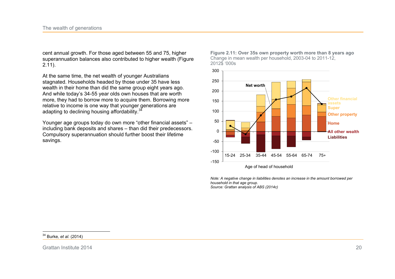cent annual growth. For those aged between 55 and 75, higher superannuation balances also contributed to higher wealth (Figure  $2.11$ ).

At the same time, the net wealth of younger Australians stagnated. Households headed by those under 35 have less wealth in their home than did the same group eight years ago. And while today's 34-55 year olds own houses that are worth more, they had to borrow more to acquire them. Borrowing more relative to income is one way that younger generations are adapting to declining housing affordability.<sup>34</sup>

Younger age groups today do own more "other financial assets" – including bank deposits and shares – than did their predecessors. Compulsory superannuation should further boost their lifetime savings.





*Note: A negative change in liabilities denotes an increase in the amount borrowed per household in that age group. Source: Grattan analysis of ABS (2014c)* 

 $\frac{1}{2}$ <sup>34</sup> Burke*, et al.* (2014)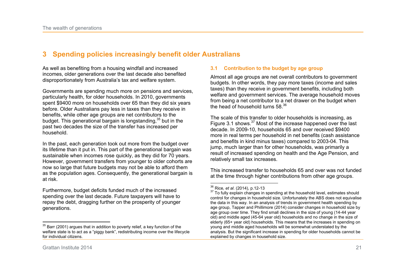## **3 Spending policies increasingly benefit older Australians**

As well as benefiting from a housing windfall and increased incomes, older generations over the last decade also benefited disproportionately from Australia's tax and welfare system.

Governments are spending much more on pensions and services, particularly health, for older households. In 2010, governments spent \$9400 more on households over 65 than they did six years before. Older Australians pay less in taxes than they receive in benefits, while other age groups are net contributors to the budget. This generational bargain is longstanding,<sup>35</sup> but in the past two decades the size of the transfer has increased per household.

In the past, each generation took out more from the budget over its lifetime than it put in. This part of the generational bargain was sustainable when incomes rose quickly, as they did for 70 years. However, government transfers from younger to older cohorts are now so large that future budgets may not be able to afford them as the population ages. Consequently, the generational bargain is at risk.

Furthermore, budget deficits funded much of the increased spending over the last decade. Future taxpayers will have to repay the debt, dragging further on the prosperity of younger generations.

#### **3.1 Contribution to the budget by age group**

Almost all age groups are net overall contributors to government budgets. In other words, they pay more taxes (income and sales taxes) than they receive in government benefits, including both welfare and government services. The average household moves from being a net contributor to a net drawer on the budget when the head of household turns 58. $^{36}$ 

The scale of this transfer to older households is increasing, as Figure 3.1 shows.<sup>37</sup> Most of the increase happened over the last decade. In 2009-10, households 65 and over received \$9400 more in real terms per household in net benefits (cash assistance and benefits in kind minus taxes) compared to 2003-04. This jump, much larger than for other households, was primarily a result of increased spending on health and the Age Pension, and relatively small tax increases.

This increased transfer to households 65 and over was not funded at the time through higher contributions from other age groups.

 $\frac{1}{2}$  $35$  Barr (2001) argues that in addition to poverty relief, a key function of the welfare state is to act as a "piggy bank", redistributing income over the lifecycle for individual citizens.

 $\overline{a}$ <sup>36</sup> Rice*, et al.* (2014), p.12-13

<sup>&</sup>lt;sup>37</sup> To fully explain changes in spending at the household level, estimates should control for changes in household size. Unfortunately the ABS does not equivalise the data in this way. In an analysis of trends in government health spending by age group, Tapper and Phillimore (2014) consider changes in household size by age group over time. They find small declines in the size of young (14-44 year old) and middle aged (45-64 year old) households and no change in the size of elderly (65+ year old) households. This means that the increases in spending on young and middle aged households will be somewhat understated by the analysis. But the significant increase in spending for older households cannot be explained by changes in household size.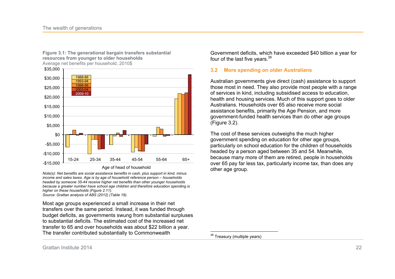**Figure 3.1: The generational bargain transfers substantial resources from younger to older households**  Average net benefits per household, 2010\$



Age of head of household

*Note(s): Net benefits are social assistance benefits in cash, plus support in kind, minus income and sales taxes. Age is by age of household reference person – households headed by someone 35-44 receive higher net benefits than other younger households because a greater number have school age children and therefore education spending is higher on these households (Figure 2.11). Source: Grattan analysis of ABS (2012) (Table 19).* 

Most age groups experienced a small increase in their net transfers over the same period. Instead, it was funded through budget deficits, as governments swung from substantial surpluses to substantial deficits. The estimated cost of the increased net transfer to 65 and over households was about \$22 billion a year. The transfer contributed substantially to Commonwealth

Government deficits, which have exceeded \$40 billion a year for four of the last five years.<sup>38</sup>

#### **3.2 More spending on older Australians**

Australian governments give direct (cash) assistance to support those most in need. They also provide most people with a range of services in kind, including subsidised access to education, health and housing services. Much of this support goes to older Australians. Households over 65 also receive more social assistance benefits, primarily the Age Pension, and more government-funded health services than do other age groups (Figure 3.2).

The cost of these services outweighs the much higher government spending on education for other age groups, particularly on school education for the children of households headed by a person aged between 35 and 54. Meanwhile, because many more of them are retired, people in households over 65 pay far less tax, particularly income tax, than does any other age group.

 $\overline{a}$ <sup>38</sup> Treasury (multiple years)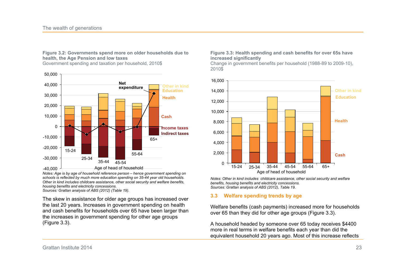**Figure 3.2: Governments spend more on older households due to health, the Age Pension and low taxes** 

Government spending and taxation per household, 2010\$



*Notes: Age is by age of household reference person – hence government spending on schools is reflected by much more education spending on 35-44 year old households. Other in kind includes childcare assistance, other social security and welfare benefits, housing benefits and electricity concessions. Sources: Grattan analysis of ABS (2012) (Table 19).* 

The skew in assistance for older age groups has increased over the last 20 years. Increases in government spending on health and cash benefits for households over 65 have been larger than the increases in government spending for other age groups (Figure 3.3).

#### **Figure 3.3: Health spending and cash benefits for over 65s have increased significantly**

Change in government benefits per household (1988-89 to 2009-10), 2010\$



*Notes: Other in kind includes childcare assistance, other social security and welfare benefits, housing benefits and electricity concessions. Sources: Grattan analysis of ABS (2012), Table 19.* 

#### **3.3 Welfare spending trends by age**

Welfare benefits (cash payments) increased more for households over 65 than they did for other age groups (Figure 3.3).

A household headed by someone over 65 today receives \$4400 more in real terms in welfare benefits each year than did the equivalent household 20 years ago. Most of this increase reflects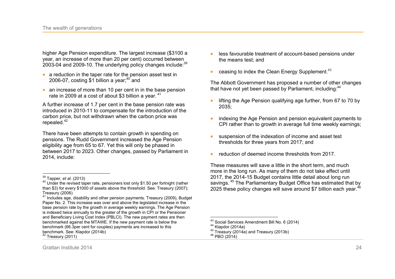higher Age Pension expenditure. The largest increase (\$3100 a year, an increase of more than 20 per cent) occurred between 2003-04 and 2009-10. The underlying policy changes include: $39$ 

- $\bullet$  a reduction in the taper rate for the pension asset test in 2006-07, costing \$1 billion a year: $40$  and
- an increase of more than 10 per cent in in the base pension rate in 2009 at a cost of about \$3 billion a year.<sup>41</sup>

A further increase of 1.7 per cent in the base pension rate was introduced in 2010-11 to compensate for the introduction of the carbon price, but not withdrawn when the carbon price was repealed. $42$ 

There have been attempts to contain growth in spending on pensions. The Rudd Government increased the Age Pension eligibility age from 65 to 67. Yet this will only be phased in between 2017 to 2023. Other changes, passed by Parliament in 2014, include:

- less favourable treatment of account-based pensions under the means test; and
- ceasing to index the Clean Energy Supplement. $43$

The Abbott Government has proposed a number of other changes that have not yet been passed by Parliament, including:<sup>44</sup>

- lifting the Age Pension qualifying age further, from 67 to 70 by 2035;
- indexing the Age Pension and pension equivalent payments to CPI rather than to growth in average full time weekly earnings;
- suspension of the indexation of income and asset test thresholds for three years from 2017; and
- x reduction of deemed income thresholds from 2017.

These measures will save a little in the short term, and much more in the long run. As many of them do not take effect until 2017, the 2014-15 Budget contains little detail about long run savings.<sup>45</sup> The Parliamentary Budget Office has estimated that by 2025 these policy changes will save around \$7 billion each year.  $46$ 

 $\overline{\phantom{a}}$ 

 $\frac{1}{2}$ <sup>39</sup> Tapper*, et al.* (2013)

<sup>40</sup> Under the revised taper rate, pensioners lost only \$1.50 per fortnight (rather than \$3) for every \$1000 of assets above the threshold. See: Treasury (2007); Treasury (2006)

<sup>&</sup>lt;sup>41</sup> Includes age, disability and other pension payments. Treasury (2009), Budget Paper No. 2. This increase was over and above the legislated increase in the base pension rate by the growth in average weekly earnings. The Age Pension is indexed twice annually to the greater of the growth in CPI or the Pensioner and Beneficiary Living Cost Index (PBLCI). The new payment rates are then benchmarked against the MTAWE. If the new payment rate is below the benchmark (66.3per cent for couples) payments are increased to this benchmark. See: Klapdor (2014b)  $42$  Treasury (2011)

 $^{43}$  Social Services Amendment Bill No. 6 (2014)

<sup>44</sup> Klapdor (2014a)

 $45$  Treasury (2014a) and Treasury (2013b)

<sup>46</sup> PBO (2014)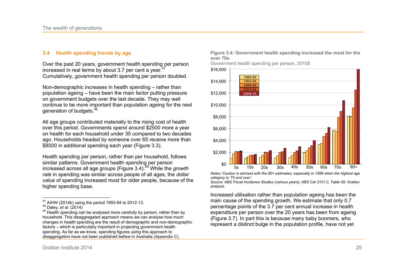#### **3.4 Health spending trends by age**

Over the past 20 years, government health spending per person increased in real terms by about 3.7 per cent a year.<sup>4</sup> Cumulatively, government health spending per person doubled.

Non-demographic increases in health spending – rather than population ageing – have been the main factor putting pressure on government budgets over the last decade. They may well continue to be more important than population ageing for the next generation of budgets.<sup>48</sup>

All age groups contributed materially to the rising cost of health over this period. Governments spend around \$2500 more a year on health for each household under 35 compared to two decades ago. Households headed by someone over 65 receive more than \$8500 in additional spending each year (Figure 3.3).

Health spending per person, rather than per household, follows similar patterns. Government health spending per person increased across all age groups (Figure 3.4).<sup>49</sup> While the *growth rate* in spending was similar across people of all ages, the *dollar value* of spending increased most for older people, because of the higher spending base.

49 Health spending can be analysed more carefully by person, rather than by household. This disaggregated approach means we can analyse how much changes in health spending are the result of demographic and non-demographic factors – which is particularly important in projecting government health spending. As far as we know, spending figures using this approach to disaggregation have not been published before in Australia (Appendix C).

**Figure 3.4: Government health spending increased the most for the over 70s** 

Government health spending per person, 2010\$



*Notes: Caution is advised with the 80+ estimates, especially in 1999 when the highest age category is '75 and over'.* 

*Source: ABS Fiscal Incidence Studies (various years); ABS Cat 3101.0, Table 59; Grattan analysis.* 

Increased utilisation rather than population ageing has been the main cause of the spending growth. We estimate that only 0.7 percentage points of the 3.7 per cent annual increase in health expenditure per person over the 20 years has been from ageing (Figure 3.7). In part this is because many baby boomers, who represent a distinct bulge in the population profile, have not yet

 $\overline{a}$  $^{47}_{12}$  AIHW (2014b) using the period 1993-94 to 2012-13.

<sup>48</sup> Daley*, et al.* (2014)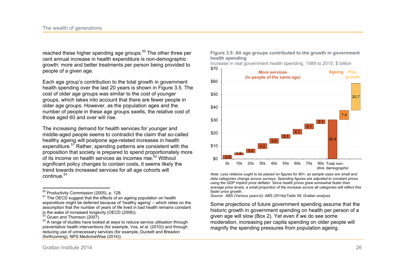reached these higher spending age groups.<sup>50</sup> The other three per cent annual increase in health expenditure is non-demographic growth: more and better treatments per person being provided to people of a given age.

Each age group's contribution to the total growth in government health spending over the last 20 years is shown in Figure 3.5. The cost of older age groups was similar to the cost of younger groups, which takes into account that there are fewer people in older age groups. However, as the population ages and the number of people in these age groups swells, the relative cost of those aged 60 and over will rise.

The increasing demand for health services for younger and middle-aged people seems to contradict the claim that so-called healthy ageing will postpone age-related increases in health expenditure.<sup>51</sup> Rather, spending patterns are consistent with the proposition that society is prepared to spend proportionately more of its income on health services as incomes rise.<sup>52</sup> Without significant policy changes to contain costs, it seems likely the trend towards increased services for all age cohorts will continue.<sup>53</sup>

 $\overline{a}$ 

**Figure 3.5: All age groups contributed to the growth in government health spending** 



*Note: Less reliance ought to be placed on figures for 80+, as sample sizes are small and data categories change across surveys. Spending figures are adjusted to constant prices using the GDP implicit price deflator. Since health prices grew somewhat faster than average price levels, a small proportion of the increase across all categories will reflect this*  plus demographic

*faster price growth. Source: ABS (Various years-b); ABS (2014a)Table 59; Grattan analysis* 

Some projections of future government spending assume that the historic growth in government spending on health per person of a given age will slow (Box 2). Yet even if we do see some moderation, increasing per capita spending on older people will magnify the spending pressures from population ageing.

 $^{50}_{\sim}$  Productivity Commission (2005), p. 128.

<sup>&</sup>lt;sup>51</sup> The OECD suggest that the effects of an ageing population on health expenditure might be deferred because of 'healthy ageing' – which relies on the assumption that the number of years of life lived in bad health remains constant in the wake of increased longevity (OECD (2006)).

 $52$  Gruen and Thomson (2007)

<sup>53</sup> A range of studies have looked at ways to reduce service utilisation through preventative health interventions (for example, Vos*, et al.* (2010)) and through reducing use of unnecessary services (for example, Duckett and Breadon (forthcoming), NPS MedicineWise (2014)).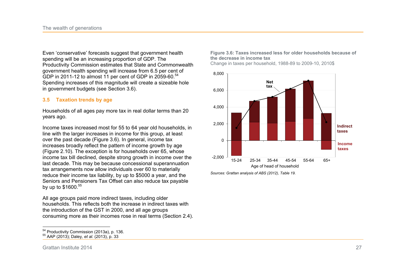Even 'conservative' forecasts suggest that government health spending will be an increasing proportion of GDP. The Productivity Commission estimates that State and Commonwealth government health spending will increase from 6.5 per cent of GDP in 2011-12 to almost 11 per cent of GDP in 2059-60.<sup>54</sup> Spending increases of this magnitude will create a sizeable hole in government budgets (see Section 3.6).

### **3.5 Taxation trends by age**

Households of all ages pay more tax in real dollar terms than 20 years ago.

Income taxes increased most for 55 to 64 year old households, in line with the larger increases in income for this group, at least over the past decade (Figure 3.6). In general, income tax increases broadly reflect the pattern of income growth by age (Figure 2.10). The exception is for households over 65, whose income tax bill declined, despite strong growth in income over the last decade. This may be because concessional superannuation tax arrangements now allow individuals over 60 to materially reduce their income tax liability, by up to \$5000 a year, and the Seniors and Pensioners Tax Offset can also reduce tax payable by up to \$1600.<sup>55</sup>

All age groups paid more indirect taxes, including older households. This reflects both the increase in indirect taxes with the introduction of the GST in 2000, and all age groups consuming more as their incomes rose in real terms (Section 2.4). **Figure 3.6: Taxes increased less for older households because of the decrease in income tax** 

Change in taxes per household, 1988-89 to 2009-10, 2010\$



*Sources: Grattan analysis of ABS (2012), Table 19.* 

 $\overline{a}$ <sup>54</sup> Productivity Commission (2013a), p. 136.

<sup>55</sup> AAP (2013); Daley*, et al.* (2013), p. 33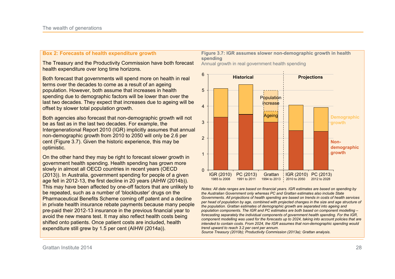#### **Box 2: Forecasts of health expenditure growth**

The Treasury and the Productivity Commission have both forecast health expenditure over long time horizons.

Both forecast that governments will spend more on health in real terms over the decades to come as a result of an ageing population. However, both assume that increases in health spending due to demographic factors will be lower than over the last two decades. They expect that increases due to ageing will be offset by slower total population growth.

Both agencies also forecast that non-demographic growth will not be as fast as in the last two decades. For example, the Intergenerational Report 2010 (IGR) implicitly assumes that annual non-demographic growth from 2010 to 2050 will only be 2.6 per cent (Figure 3.7). Given the historic experience, this may be optimistic.

On the other hand they may be right to forecast slower growth in government health spending. Health spending has grown more slowly in almost all OECD countries in recent years (OECD (2013)). In Australia, government spending for people of a given age fell in 2012-13, the first decline in 20 years (AIHW (2014b)). This may have been affected by one-off factors that are unlikely to be repeated, such as a number of 'blockbuster' drugs on the Pharmaceutical Benefits Scheme coming off patent and a decline in private health insurance rebate payments because many people pre-paid their 2012-13 insurance in the previous financial year to avoid the new means test. It may also reflect health costs being shifted onto patients. Once patient costs are included, health expenditure still grew by 1.5 per cent (AIHW (2014a)).

#### **Figure 3.7: IGR assumes slower non-demographic growth in health spending**

Annual growth in real government health spending



*Notes: All date ranges are based on financial years. IGR estimates are based on spending by the Australian Government only whereas PC and Grattan estimates also include State Governments. All projections of health spending are based on trends in costs of health services per head of population by age, combined with projected changes in the size and age structure of the population. Grattan estimates of demographic growth are separated into ageing and population components. The IGR and PC estimates are both based on component modelling – forecasting separately the individual components of government health spending. For the IGR, component modelling was used for the forecasts up to 2024, taking into account policies that are intended to contain costs. From 2024, the IGR assumes that non-demographic spending would trend upward to reach 3.2 per cent per annum.* 

*Source Treasury (2010b); Productivity Commission (2013a); Grattan analysis.*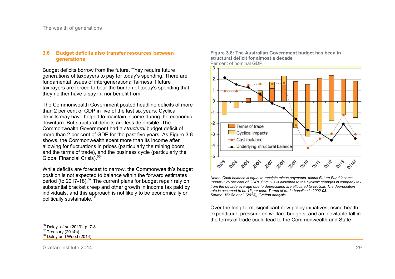#### **3.6 Budget deficits also transfer resources between generations**

Budget deficits borrow from the future. They require future generations of taxpayers to pay for today's spending. There are fundamental issues of intergenerational fairness if future taxpayers are forced to bear the burden of today's spending that they neither have a say in, nor benefit from.

The Commonwealth Government posted headline deficits of more than 2 per cent of GDP in five of the last six years. Cyclical deficits may have helped to maintain income during the economic downturn. But structural deficits are less defensible. The Commonwealth Government had a *structural* budget deficit of more than 2 per cent of GDP for the past five years. As Figure 3.8 shows, the Commonwealth spent more than its income after allowing for fluctuations in prices (particularly the mining boom and the terms of trade), and the business cycle (particularly the Global Financial Crisis).<sup>56</sup>

While deficits are forecast to narrow, the Commonwealth's budget position is not expected to balance within the forward estimates period (to  $2017-18$ ).<sup>57</sup> The current plans for budget repair rely on substantial bracket creep and other growth in income tax paid by individuals, and this approach is not likely to be economically or politically sustainable.<sup>5</sup>



**Figure 3.8: The Australian Government budget has been in structural deficit for almost a decade** 

*Notes: Cash balance is equal to receipts minus payments, minus Future Fund income (under 0.25 per cent of GDP). Stimulus is allocated to the cyclical; changes in company tax from the decade average due to depreciation are allocated to cyclical. The depreciation rate is assumed to be 15 per cent. Terms of trade baseline is 2002-03. Source: Minifie et al. (2013); Grattan analysis* 

Over the long-term, significant new policy initiatives, rising health expenditure, pressure on welfare budgets, and an inevitable fall in the terms of trade could lead to the Commonwealth and State

 $\overline{a}$ <sup>56</sup> Daley*, et al.* (2013), p. 7-8

 $57$  Treasury (2014b)

 $58$  Daley and Wood (2014)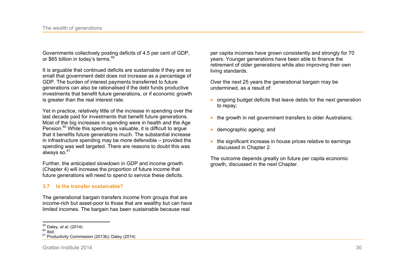Governments collectively posting deficits of 4.5 per cent of GDP, or \$65 billion in today's terms.<sup>59</sup>

It is arguable that continued deficits are sustainable if they are so small that government debt does not increase as a percentage of GDP. The burden of interest payments transferred to future generations can also be rationalised if the debt funds productive investments that benefit future generations, or if economic growth is greater than the real interest rate.

Yet in practice, relatively little of the increase in spending over the last decade paid for investments that benefit future generations. Most of the big increases in spending were in health and the Age Pension.<sup>60</sup> While this spending is valuable, it is difficult to argue that it benefits future generations much. The substantial increase in infrastructure spending may be more defensible – provided the spending was well targeted. There are reasons to doubt this was always so.<sup>61</sup>

Further, the anticipated slowdown in GDP and income growth (Chapter 4) will increase the proportion of future income that future generations will need to spend to service these deficits.

#### **3.7 Is the transfer sustainable?**

The generational bargain transfers income from groups that are income-rich but asset-poor to those that are wealthy but can have limited incomes. The bargain has been sustainable because real

per capita incomes have grown consistently and strongly for 70 years. Younger generations have been able to finance the retirement of older generations while also improving their own living standards.

Over the next 25 years the generational bargain may be undermined, as a result of:

- ongoing budget deficits that leave debts for the next generation to repay;
- $\bullet$  the growth in net government transfers to older Australians;
- demographic ageing; and
- $\bullet$  the significant increase in house prices relative to earnings discussed in Chapter 2.

The outcome depends greatly on future per capita economic growth, discussed in the next Chapter.

 $\overline{a}$ <sup>59</sup> Daley*, et al.* (2014)

 $60$  Ibid.

<sup>&</sup>lt;sup>61</sup> Productivity Commission (2013b); Daley (2014)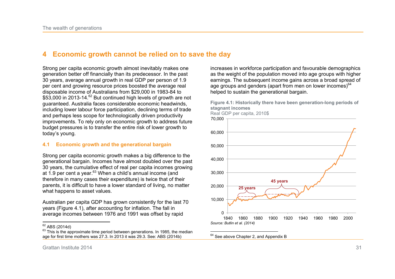## **4 Economic growth cannot be relied on to save the day**

Strong per capita economic growth almost inevitably makes one generation better off financially than its predecessor. In the past 30 years, average annual growth in real GDP per person of 1.9 per cent and growing resource prices boosted the average real disposable income of Australians from \$29,000 in 1983-84 to \$53,000 in 2013-14.<sup>62</sup> But continued high levels of growth are not guaranteed. Australia faces considerable economic headwinds, including lower labour force participation, declining terms of trade and perhaps less scope for technologically driven productivity improvements. To rely only on economic growth to address future budget pressures is to transfer the entire risk of lower growth to today's young.

#### **4.1 Economic growth and the generational bargain**

Strong per capita economic growth makes a big difference to the generational bargain. Incomes have almost doubled over the past 30 years, the cumulative effect of real per capita incomes growing at 1.9 per cent a year. $63$  When a child's annual income (and therefore in many cases their expenditure) is twice that of their parents, it is difficult to have a lower standard of living, no matter what happens to asset values.

Australian per capita GDP has grown consistently for the last 70 years (Figure 4.1), after accounting for inflation. The fall in average incomes between 1976 and 1991 was offset by rapid

 $\frac{1}{2}$  $^{62}_{2}$  ABS (2014d) increases in workforce participation and favourable demographics as the weight of the population moved into age groups with higher earnings. The subsequent income gains across a broad spread of age groups and genders (apart from men on lower incomes) $64$ helped to sustain the generational bargain.



**Figure 4.1: Historically there have been generation-long periods of stagnant incomes** 

Grattan Institute 2014 31

 $63$  This is the approximate time period between generations. In 1985, the median age for first time mothers was 27.3. In 2013 it was 29.3. See: ABS (2014b)

 $\overline{a}$  $64$  See above Chapter 2, and Appendix B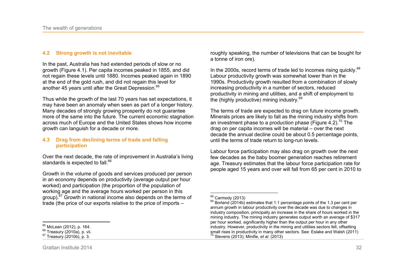#### **4.2 Strong growth is not inevitable**

In the past, Australia has had extended periods of slow or no growth (Figure 4.1). Per capita incomes peaked in 1855, and did not regain these levels until 1880. Incomes peaked again in 1890 at the end of the gold rush, and did not regain this level for another 45 years until after the Great Depression.<sup>65</sup>

Thus while the growth of the last 70 years has set expectations, it may have been an anomaly when seen as part of a longer history. Many decades of strongly growing prosperity do not guarantee more of the same into the future. The current economic stagnation across much of Europe and the United States shows how income growth can languish for a decade or more.

#### **4.3 Drag from declining terms of trade and falling participation**

Over the next decade, the rate of improvement in Australia's living standards is expected to fall.<sup>66</sup>

Growth in the volume of goods and services produced per person in an economy depends on productivity (average output per hour worked) and participation (the proportion of the population of working age and the average hours worked per person in this group). $67$  Growth in national income also depends on the terms of trade (the price of our exports relative to the price of imports –

roughly speaking, the number of televisions that can be bought for a tonne of iron ore).

In the 2000s, record terms of trade led to incomes rising quickly.<sup>68</sup> Labour productivity growth was somewhat lower than in the 1990s. Productivity growth resulted from a combination of slowly increasing productivity in a number of sectors, reduced productivity in mining and utilities, and a shift of employment to the (highly productive) mining industry.<sup>69</sup>

The terms of trade are expected to drag on future income growth. Minerals prices are likely to fall as the mining industry shifts from an investment phase to a production phase (Figure 4.2).<sup>70</sup> The drag on per capita incomes will be material – over the next decade the annual decline could be about 0.5 percentage points, until the terms of trade return to long-run levels.

Labour force participation may also drag on growth over the next few decades as the baby boomer generation reaches retirement age. Treasury estimates that the labour force participation rate for people aged 15 years and over will fall from 65 per cent in 2010 to

 $\overline{a}$  $<sup>68</sup>$  Carmody (2013)</sup>

 $^{69}$  Borland (2014b) estimates that 1.1 percentage points of the 1.3 per cent per annum growth in labour productivity over the decade was due to changes in industry composition, principally an increase in the share of hours worked in the mining industry. The mining industry generates output worth an average of \$317 per hour worked, significantly higher than the output per hour in any other industry. However, productivity in the mining and utilities sectors fell, offsetting small rises in productivity in many other sectors. See: Eslake and Walsh (2011) <sup>70</sup> Stevens (2013); Minifie*, et al.* (2013)

 $\frac{1}{2}$  $^{65}_{2}$  McLean (2012), p. 164.

 $66$  Treasury (2010a), p. vii.

<sup>67</sup> Treasury (2010b), p. 3.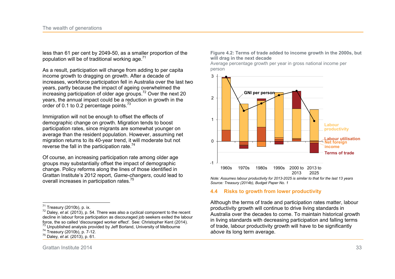less than 61 per cent by 2049-50, as a smaller proportion of the population will be of traditional working age. $71$ 

As a result, participation will change from adding to per capita income growth to dragging on growth. After a decade of increases, workforce participation fell in Australia over the last two years, partly because the impact of ageing overwhelmed the increasing participation of older age groups.<sup>72</sup> Over the next 20 years, the annual impact could be a reduction in growth in the order of 0.1 to 0.2 percentage points. $73$ 

Immigration will not be enough to offset the effects of demographic change on growth. Migration tends to boost participation rates, since migrants are somewhat younger on average than the resident population. However, assuming net migration returns to its 40-year trend, it will moderate but not reverse the fall in the participation rate.<sup>74</sup>

Of course, an increasing participation rate among older age groups may substantially offset the impact of demographic change. Policy reforms along the lines of those identified in Grattan Institute's 2012 report, *Game-changers*, could lead to overall increases in participation rates.<sup>75</sup>

#### **Figure 4.2: Terms of trade added to income growth in the 2000s, but will drag in the next decade**

Average percentage growth per year in gross national income per person



*Note: Assumes labour productivity for 2013-2025 is similar to that for the last 13 years Source: Treasury (2014b), Budget Paper No. 1* 

#### **4.4 Risks to growth from lower productivity**

Although the terms of trade and participation rates matter, labour productivity growth will continue to drive living standards in Australia over the decades to come. To maintain historical growth in living standards with decreasing participation and falling terms of trade, labour productivity growth will have to be significantly *above* its long term average.

 $\overline{a}$  $171$  Treasury (2010b), p. ix.

<sup>72</sup> Daley*, et al.* (2013), p. 54. There was also a cyclical component to the recent decline in labour force participation as discouraged job seekers exited the labour force, the so called 'discouraged worker effect'. See: Christopher Kent (2014). <sup>73</sup> Unpublished analysis provided by Jeff Borland, University of Melbourne

<sup>74</sup> Treasury (2010b), p. 7-12.

<sup>75</sup> Daley*, et al.* (2013), p. 61.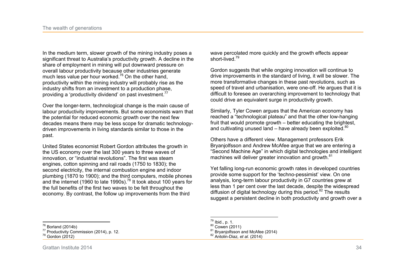In the medium term, slower growth of the mining industry poses a significant threat to Australia's productivity growth. A decline in the share of employment in mining will put downward pressure on overall labour productivity because other industries generate much less value per hour worked.<sup>76</sup> On the other hand. productivity within the mining industry will probably rise as the industry shifts from an investment to a production phase, providing a 'productivity dividend' on past investment.<sup>77</sup>

Over the longer-term, technological change is the main cause of labour productivity improvements. But some economists warn that the potential for reduced economic growth over the next few decades means there may be less scope for dramatic technologydriven improvements in living standards similar to those in the past.

United States economist Robert Gordon attributes the growth in the US economy over the last 300 years to three waves of innovation, or "industrial revolutions". The first was steam engines, cotton spinning and rail roads (1750 to 1830); the second electricity, the internal combustion engine and indoor plumbing (1870 to 1900); and the third computers, mobile phones and the internet (1960 to late 1990s).<sup>78</sup> It took about 100 years for the full benefits of the first two waves to be felt throughout the economy. By contrast, the follow up improvements from the third

wave percolated more quickly and the growth effects appear short-lived.<sup>79</sup>

Gordon suggests that while ongoing innovation will continue to drive improvements in the standard of living, it will be slower. The more transformative changes in these past revolutions, such as speed of travel and urbanisation, were one-off. He argues that it is difficult to foresee an overarching improvement to technology that could drive an equivalent surge in productivity growth.

Similarly, Tyler Cowen argues that the American economy has reached a "technological plateau" and that the other low-hanging fruit that would promote growth – better educating the brightest, and cultivating unused land – have already been exploited. $^{80}$ 

Others have a different view. Management professors Erik Bryanjolfsson and Andrew McAfee argue that we are entering a "Second Machine Age" in which digital technologies and intelligent machines will deliver greater innovation and growth.<sup>81</sup>

Yet falling long-run economic growth rates in developed countries provide some support for the 'techno-pessimist' view. On one analysis, long-term labour productivity in G7 countries grew at less than 1 per cent over the last decade, despite the widespread diffusion of digital technology during this period. $82$  The results suggest a persistent decline in both productivity and growth over a

 $80$  Cowen (2011)

<sup>82</sup> Antolin-Diaz*, et al.* (2014)

 $\overline{a}$  $^{76}_{-2}$  Borland (2014b)

<sup>77</sup> Productivity Commission (2014), p. 12.

<sup>78</sup> Gordon (2012)

 $\overline{a}$  $^{79}$  Ibid., p. 1.

 $81$  Bryaniolfsson and McAfee (2014)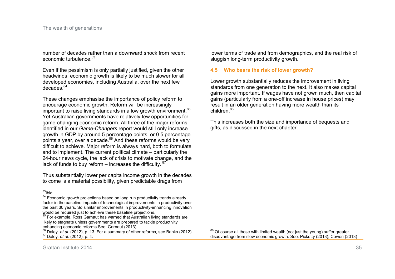number of decades rather than a downward shock from recent economic turbulence.<sup>83</sup>

Even if the pessimism is only partially justified, given the other headwinds, economic growth is likely to be much slower for all developed economies, including Australia, over the next few decades.<sup>84</sup>

These changes emphasise the importance of policy reform to encourage economic growth. Reform will be increasingly important to raise living standards in a low growth environment.<sup>85</sup> Yet Australian governments have relatively few opportunities for game-changing economic reform. All three of the major reforms identified in our *Game-Changers* report would still only increase growth in GDP by around 5 percentage points, or 0.5 percentage points a year, over a decade.<sup>86</sup> And these reforms would be very difficult to achieve. Major reform is always hard, both to formulate and to implement. The current political climate – particularly the 24-hour news cycle, the lack of crisis to motivate change, and the lack of funds to buy reform – increases the difficulty.  $87$ 

Thus substantially lower per capita income growth in the decades to come is a material possibility, given predictable drags from

lower terms of trade and from demographics, and the real risk of sluggish long-term productivity growth.

#### **4.5 Who bears the risk of lower growth?**

Lower growth substantially reduces the improvement in living standards from one generation to the next. It also makes capital gains more important. If wages have not grown much, then capital gains (particularly from a one-off increase in house prices) may result in an older generation having more wealth than its children.<sup>88</sup>

This increases both the size and importance of bequests and gifts, as discussed in the next chapter.

 $\frac{1}{2}$  $\int_{0}^{83}$ Ibid.

<sup>84</sup> Economic growth projections based on long run productivity trends already factor in the baseline impacts of technological improvements in productivity over the past 30 years. So similar improvements in productivity-enhancing innovation would be required just to achieve these baseline projections.

<sup>85</sup> For example, Ross Garnaut has warned that Australian living standards are likely to stagnate unless governments are prepared to tackle productivity enhancing economic reforms See: Garnaut (2013)

<sup>86</sup> Daley*, et al.* (2012), p. 13. For a summary of other reforms, see Banks (2012) <sup>87</sup> Daley*, et al.* (2012), p. 4.

 $\overline{a}$  $88$  Of course all those with limited wealth (not just the young) suffer greater disadvantage from slow economic growth. See: Picketty (2013); Cowen (2013)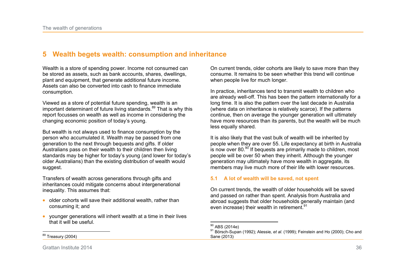## **5 Wealth begets wealth: consumption and inheritance**

Wealth is a store of spending power. Income not consumed can be stored as assets, such as bank accounts, shares, dwellings, plant and equipment, that generate additional future income. Assets can also be converted into cash to finance immediate consumption.

Viewed as a store of potential future spending, wealth is an important determinant of future living standards. $89$  That is why this report focusses on wealth as well as income in considering the changing economic position of today's young.

But wealth is not always used to finance consumption by the person who accumulated it. Wealth may be passed from one generation to the next through bequests and gifts. If older Australians pass on their wealth to their children then living standards may be higher for today's young (and lower for today's older Australians) than the existing distribution of wealth would suggest.

Transfers of wealth across generations through gifts and inheritances could mitigate concerns about intergenerational inequality. This assumes that:

- $\bullet$  older cohorts will save their additional wealth, rather than consuming it; and
- x younger generations will inherit wealth at a time in their lives that it will be useful.

On current trends, older cohorts are likely to save more than they consume. It remains to be seen whether this trend will continue when people live for much longer.

In practice, inheritances tend to transmit wealth to children who are already well-off. This has been the pattern internationally for a long time. It is also the pattern over the last decade in Australia (where data on inheritance is relatively scarce). If the patterns continue, then on average the younger generation will ultimately have more resources than its parents, but the wealth will be much less equally shared.

It is also likely that the vast bulk of wealth will be inherited by people when they are over 55. Life expectancy at birth in Australia is now over 80. $90$  If bequests are primarily made to children, most people will be over 50 when they inherit. Although the younger generation may ultimately have more wealth in aggregate, its members may live much more of their life with lower resources.

#### **5.1 A lot of wealth will be saved, not spent**

On current trends, the wealth of older households will be saved and passed on rather than spent. Analysis from Australia and abroad suggests that older households generally maintain (and even increase) their wealth in retirement.<sup>91</sup>

 $\frac{1}{2}$ Treasury (2004)

 $\overline{a}$  $^{90}_{\odot}$  ABS (2014e)

<sup>91</sup> Börsch-Supan (1992); Alessie*, et al.* (1999); Feinstein and Ho (2000); Cho and Sane (2013)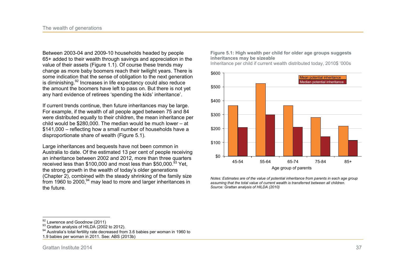Between 2003-04 and 2009-10 households headed by people 65+ added to their wealth through savings and appreciation in the value of their assets (Figure 1.1). Of course these trends may change as more baby boomers reach their twilight years. There is some indication that the sense of obligation to the next generation is diminishing.<sup>92</sup> Increases in life expectancy could also reduce the amount the boomers have left to pass on. But there is not yet any hard evidence of retirees 'spending the kids' inheritance'.

If current trends continue, then future inheritances may be large. For example, if the wealth of all people aged between 75 and 84 were distributed equally to their children, the mean inheritance per child would be \$280,000. The median would be much lower – at \$141,000 – reflecting how a small number of households have a disproportionate share of wealth (Figure 5.1).

Large inheritances and bequests have not been common in Australia to date. Of the estimated 13 per cent of people receiving an inheritance between 2002 and 2012, more than three quarters received less than \$100,000 and most less than \$50,000. $^{93}$  Yet, the strong growth in the wealth of today's older generations (Chapter 2), combined with the steady shrinking of the family size from 1960 to 2000,<sup>94</sup> may lead to more and larger inheritances in the future.

**Figure 5.1: High wealth per child for older age groups suggests inheritances may be sizeable** 

Inheritance per child if current wealth distributed today, 2010\$ '000s



*Notes: Estimates are of the value of potential inheritance from parents in each age group assuming that the total value of current wealth is transferred between all children. Source: Grattan analysis of HILDA (2010)* 

<sup>93</sup> Grattan analysis of HILDA (2002 to 2012).

 $\overline{a}$  $^{92}$  Lawrence and Goodnow (2011)

<sup>94</sup> Australia's total fertility rate decreased from 3.6 babies per woman in 1960 to

<sup>1.9</sup> babies per woman in 2011. See: ABS (2013b)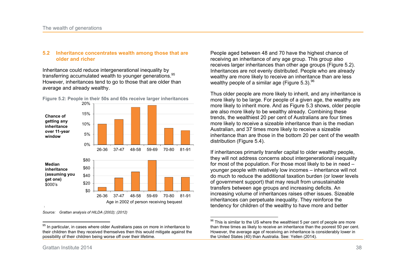#### **5.2 Inheritance concentrates wealth among those that are older and richer**

Inheritance could reduce intergenerational inequality by transferring accumulated wealth to younger generations. 95 However, inheritances tend to go to those that are older than average and already wealthy.



**Figure 5.2: People in their 50s and 60s receive larger inheritances** 

*Source: Grattan analysis of HILDA (2002); (2012)* 

People aged between 48 and 70 have the highest chance of receiving an inheritance of any age group. This group also receives larger inheritances than other age groups (Figure 5.2). Inheritances are not evenly distributed. People who are already wealthy are more likely to receive an inheritance than are less wealthy people of a similar age (Figure 5.3).  $96$ 

Thus older people are more likely to inherit, and any inheritance is more likely to be large. For people of a given age, the wealthy are more likely to inherit more. And as Figure 5.3 shows, older people are also more likely to be wealthy already. Combining these trends, the wealthiest 20 per cent of Australians are four times more likely to receive a sizeable inheritance than is the median Australian, and 37 times more likely to receive a sizeable inheritance than are those in the bottom 20 per cent of the wealth distribution (Figure 5.4).

If inheritances primarily transfer capital to older wealthy people, they will not address concerns about intergenerational inequality for most of the population. For those most likely to be in need – younger people with relatively low incomes – inheritance will not do much to reduce the additional taxation burden (or lower levels of government support) that may result from unsustainable transfers between age groups and increasing deficits. An increasing volume of inheritances raises other issues. Sizeable inheritances can perpetuate inequality. They reinforce the tendency for children of the wealthy to have more and better

 $\frac{1}{2}$  $95$  In particular, in cases where older Australians pass on more in inheritance to their children than they received themselves then this would mitigate against the possibility of their children being worse off over their lifetime.

 $\overline{a}$  $96$  This is similar to the US where the wealthiest 5 per cent of people are more than three times as likely to receive an inheritance than the poorest 50 per cent. However, the average age of receiving an inheritance is considerably lower in the United States (40) than Australia. See: Yellen (2014).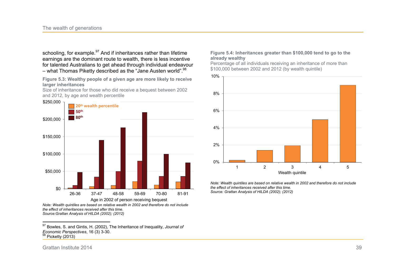schooling, for example.<sup>97</sup> And if inheritances rather than lifetime earnings are the dominant route to wealth, there is less incentive for talented Australians to get ahead through individual endeavour – what Thomas Piketty described as the "Jane Austen world".<sup>98</sup>

**Figure 5.3: Wealthy people of a given age are more likely to receive larger inheritances** 

Size of inheritance for those who did receive a bequest between 2002 and 2012, by age and wealth percentile



*Note: Wealth quintiles are based on relative wealth in 2002 and therefore do not include the effect of inheritances received after this time. Source:Grattan Analysis of HILDA (2002); (2012)* 

#### **Figure 5.4: Inheritances greater than \$100,000 tend to go to the already wealthy**

Percentage of all individuals receiving an inheritance of more than \$100,000 between 2002 and 2012 (by wealth quintile)



*Note: Wealth quintiles are based on relative wealth in 2002 and therefore do not include the effect of inheritances received after this time. Source: Grattan Analysis of HILDA (2002); (2012)* 

 $\frac{1}{2}$ <sup>97</sup> Bowles, S. and Gintis, H. (2002), The Inheritance of Inequality, *Journal of Economic Perspectives*, 16 (3) 3-30.  $98$  Picketty (2013)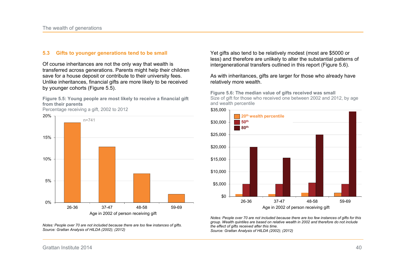#### **5.3 Gifts to younger generations tend to be small**

Of course inheritances are not the only way that wealth is transferred across generations. Parents might help their children save for a house deposit or contribute to their university fees. Unlike inheritances, financial gifts are more likely to be received by younger cohorts (Figure 5.5).

**Figure 5.5: Young people are most likely to receive a financial gift from their parents** 



*Notes: People over 70 are not included because there are too few instances of gifts. Source: Grattan Analysis of HILDA (2002); (2012)* 

Yet gifts also tend to be relatively modest (most are \$5000 or less) and therefore are unlikely to alter the substantial patterns of intergenerational transfers outlined in this report (Figure 5.6).

As with inheritances, gifts are larger for those who already have relatively more wealth.

**Figure 5.6: The median value of gifts received was small**  Size of gift for those who received one between 2002 and 2012, by age and wealth percentile



*Notes: People over 70 are not included because there are too few instances of gifts for this group. Wealth quintiles are based on relative wealth in 2002 and therefore do not include the effect of gifts received after this time. Source: Grattan Analysis of HILDA (2002); (2012)* 

Grattan Institute 2014 40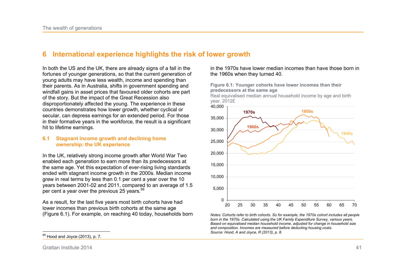## **6 International experience highlights the risk of lower growth**

In both the US and the UK, there are already signs of a fall in the fortunes of younger generations, so that the current generation of young adults may have less wealth, income and spending than their parents. As in Australia, shifts in government spending and windfall gains in asset prices that favoured older cohorts are part of the story. But the impact of the Great Recession also disproportionately affected the young. The experience in these countries demonstrates how lower growth, whether cyclical or secular, can depress earnings for an extended period. For those in their formative years in the workforce, the result is a significant hit to lifetime earnings.

#### **6.1 Stagnant income growth and declining home ownership: the UK experience**

In the UK, relatively strong income growth after World War Two enabled each generation to earn more than its predecessors at the same age. Yet this expectation of ever-rising living standards ended with stagnant income growth in the 2000s. Median income grew in real terms by less than 0.1 per cent a year over the 10 years between 2001-02 and 2011, compared to an average of 1.5 per cent a year over the previous 25 years. $99$ 

As a result, for the last five years most birth cohorts have had lower incomes than previous birth cohorts at the same age (Figure 6.1). For example, on reaching 40 today, households born

 $\frac{1}{2}$  $99$  Hood and Joyce (2013), p. 7. in the 1970s have lower median incomes than have those born in the 1960s when they turned 40.

**Figure 6.1: Younger cohorts have lower incomes than their predecessors at the same age** 

Real equivalised median annual household income by age and birth year, 2012£



*Notes: Cohorts refer to birth cohorts. So for example, the 1970s cohort includes all people born in the 1970s. Calculated using the UK Family Expenditure Survey, various years. Based on equivalised median household income, adjusted for change in household size and composition. Incomes are measured before deducting housing costs. Source: Hood, A and Joyce, R (2013), p. 8.* 

Grattan Institute 2014 41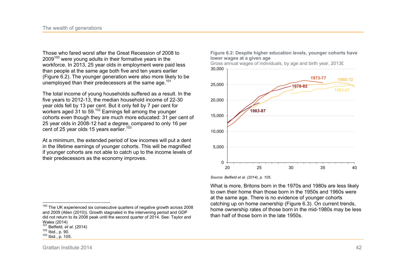Those who fared worst after the Great Recession of 2008 to 2009<sup>100</sup> were young adults in their formative years in the workforce. In 2013, 25 year olds in employment were paid less than people at the same age both five and ten years earlier (Figure 6.2). The younger generation were also more likely to be unemployed than their predecessors at the same age. $101$ 

The total income of young households suffered as a result. In the five years to 2012-13, the median household income of 22-30 year olds fell by 13 per cent. But it only fell by 7 per cent for workers aged 31 to 59.<sup>102</sup> Earnings fell among the younger cohorts even though they are much more educated: 31 per cent of 25 year olds in 2008-12 had a degree, compared to only 16 per cent of 25 year olds 15 years earlier.<sup>103</sup>

At a minimum, the extended period of low incomes will put a dent in the lifetime earnings of younger cohorts. This will be magnified if younger cohorts are not able to catch up to the income levels of their predecessors as the economy improves.

**Figure 6.2: Despite higher education levels, younger cohorts have lower wages at a given age** 



*Source: Belfield et al. (2014), p. 105.* 

What is more, Britons born in the 1970s and 1980s are less likely to own their home than those born in the 1950s and 1960s were at the same age. There is no evidence of younger cohorts catching up on home ownership (Figure 6.3). On current trends, home ownership rates of those born in the mid-1980s may be less than half of those born in the late 1950s.

 $\frac{1}{2}$  $100$  The UK experienced six consecutive quarters of negative growth across 2008 and 2009 (Allen (2010)). Growth stagnated in the intervening period and GDP did not return to its 2008 peak until the second quarter of 2014. See: Taylor and Wales (2014)

<sup>101</sup> Belfield*, et al.* (2014)

<sup>102</sup> Ibid., p. 90.

<sup>103</sup> Ibid., p. 105.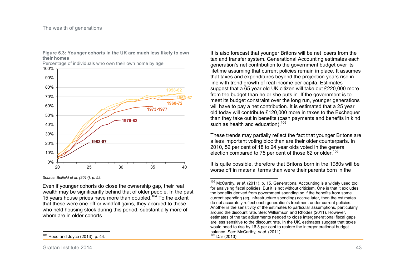

**Figure 6.3: Younger cohorts in the UK are much less likely to own their homes** 

*Source: Belfield et al. (2014), p. 52.* 

Even if younger cohorts do close the ownership gap, their real wealth may be significantly behind that of older people. In the past 15 years house prices have more than doubled.<sup>104</sup> To the extent that these were one-off or windfall gains, they accrued to those who held housing stock during this period, substantially more of whom are in older cohorts.

It is also forecast that younger Britons will be net losers from the tax and transfer system. Generational Accounting estimates each generation's net contribution to the government budget over its lifetime assuming that current policies remain in place. It assumes that taxes and expenditures beyond the projection years rise in line with trend growth of real income per capita. Estimates suggest that a 65 year old UK citizen will take out £220,000 more from the budget than he or she puts in. If the government is to meet its budget constraint over the long run, younger generations will have to pay a net contribution. It is estimated that a 25 year old today will contribute £120,000 more in taxes to the Exchequer than they take out in benefits (cash payments and benefits in kind such as health and education).<sup>105</sup>

These trends may partially reflect the fact that younger Britons are a less important voting bloc than are their older counterparts. In 2010, 52 per cent of 18 to 24 year olds voted in the general election compared to 75 per cent of those 62 or older.<sup>106</sup>

It is quite possible, therefore that Britons born in the 1980s will be worse off in material terms than were their parents born in the

 <sup>105</sup> McCarthy*, et al.* (2011), p. 15. Generational Accounting is a widely used tool for analysing fiscal policies. But it is not without criticism. One is that it excludes the benefits derived from government spending so if the benefits from some current spending (eg, infrastructure spending) accrue later, then the estimates do not accurately reflect each generation's treatment under current policies. Another is the sensitivity of the estimates to particular assumptions, particularly around the discount rate. See: Williamson and Rhodes (2011). However, estimates of the tax adjustments needed to close intergenerational fiscal gaps are less sensitive to the discount rate. In the UK, estimates suggest that taxes would need to rise by 16.3 per cent to restore the intergenerational budget balance. See: McCarthy*, et al.* (2011).  $106$  Dar (2013)

 $\frac{1}{2}$  $104$  Hood and Joyce (2013), p. 44.

Grattan Institute 2014 43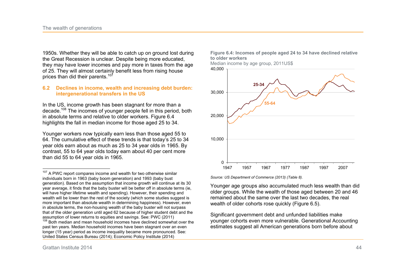1950s. Whether they will be able to catch up on ground lost during the Great Recession is unclear. Despite being more educated, they may have lower incomes and pay more in taxes from the age of 25. They will almost certainly benefit less from rising house prices than did their parents. $107$ 

#### **6.2 Declines in income, wealth and increasing debt burden: intergenerational transfers in the US**

In the US, income growth has been stagnant for more than a decade.<sup>108</sup> The incomes of younger people fell in this period, both in absolute terms and relative to older workers. Figure 6.4 highlights the fall in median income for those aged 25 to 34.

Younger workers now typically earn less than those aged 55 to 64. The cumulative effect of these trends is that today's 25 to 34 year olds earn about as much as 25 to 34 year olds in 1965. By contrast, 55 to 64 year olds today earn about 40 per cent more than did 55 to 64 year olds in 1965.

<sup>&</sup>lt;sup>108</sup> Both median and mean household incomes have declined somewhat over the past ten years. Median household incomes have been stagnant over an even longer (15 year) period as income inequality became more pronounced. See: United States Census Bureau (2014); Economic Policy Institute (2014)



 $\frac{1}{1}$ 

**Figure 6.4: Incomes of people aged 24 to 34 have declined relative to older workers** 

Median income by age group, 2011US\$



*Source: US Department of Commerce (2013) (Table 8).* 

Younger age groups also accumulated much less wealth than did older groups. While the wealth of those aged between 20 and 46 remained about the same over the last two decades, the real wealth of older cohorts rose quickly (Figure 6.5).

Significant government debt and unfunded liabilities make younger cohorts even more vulnerable. Generational Accounting estimates suggest all American generations born before about

<sup>&</sup>lt;sup>107</sup> A PWC report compares income and wealth for two otherwise similar individuals born in 1963 (baby boom generation) and 1993 (baby bust generation). Based on the assumption that income growth will continue at its 30 year average, it finds that the baby buster will be better off in absolute terms (ie, will have higher lifetime wealth and spending). However, their spending and wealth will be lower than the rest of the society (which some studies suggest is more important than absolute wealth in determining happiness). However, even in absolute terms, the non-housing wealth of the baby buster will not surpass that of the older generation until aged 62 because of higher student debt and the assumption of lower returns to equities and savings. See: PWC (2011)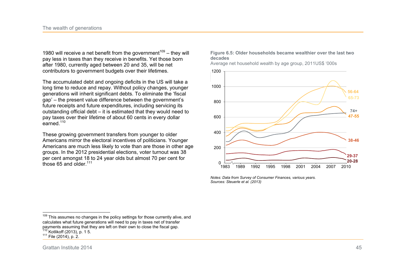1980 will receive a net benefit from the government<sup>109</sup> – they will pay less in taxes than they receive in benefits. Yet those born after 1980, currently aged between 20 and 35, will be net contributors to government budgets over their lifetimes.

The accumulated debt and ongoing deficits in the US will take a long time to reduce and repay. Without policy changes, younger generations will inherit significant debts. To eliminate the 'fiscal gap' – the present value difference between the government's future receipts and future expenditures, including servicing its outstanding official debt – it is estimated that they would need to pay taxes over their lifetime of about 60 cents in every dollar earned. $110$ 

These growing government transfers from younger to older Americans mirror the electoral incentives of politicians. Younger Americans are much less likely to vote than are those in other age groups. In the 2012 presidential elections, voter turnout was 38 per cent amongst 18 to 24 year olds but almost 70 per cent for those 65 and older $111$ 



Average net household wealth by age group, 2011US\$ '000s



*Notes: Data from Survey of Consumer Finances, various years. Sources: Steuerle et al. (2013)* 

 $\frac{1}{2}$ 

<sup>&</sup>lt;sup>109</sup> This assumes no changes in the policy settings for those currently alive, and calculates what future generations will need to pay in taxes net of transfer payments assuming that they are left on their own to close the fiscal gap.  $110$  Kotlikoff (2013), p. 1 5.

<sup>111</sup> File (2014), p. 2.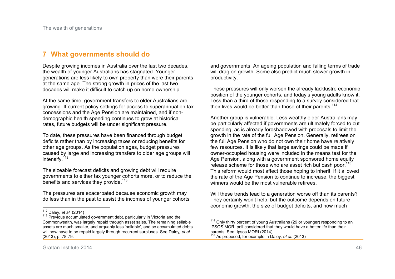## **7 What governments should do**

Despite growing incomes in Australia over the last two decades, the wealth of younger Australians has stagnated. Younger generations are less likely to own property than were their parents at the same age. The strong growth in prices of the last two decades will make it difficult to catch up on home ownership.

At the same time, government transfers to older Australians are growing. If current policy settings for access to superannuation tax concessions and the Age Pension are maintained, and if nondemographic health spending continues to grow at historical rates, future budgets will be under significant pressure.

To date, these pressures have been financed through budget deficits rather than by increasing taxes or reducing benefits for other age groups. As the population ages, budget pressures caused by large and increasing transfers to older age groups will intensify.<sup>112</sup>

The sizeable forecast deficits and growing debt will require governments to either tax younger cohorts more, or to reduce the benefits and services they provide.<sup>113</sup>

The pressures are exacerbated because economic growth may do less than in the past to assist the incomes of younger cohorts and governments. An ageing population and falling terms of trade will drag on growth. Some also predict much slower growth in productivity.

These pressures will only worsen the already lacklustre economic position of the younger cohorts, and today's young adults know it. Less than a third of those responding to a survey considered that their lives would be better than those of their parents. $114$ 

Another group is vulnerable. Less wealthy older Australians may be particularly affected if governments are ultimately forced to cut spending, as is already foreshadowed with proposals to limit the growth in the rate of the full Age Pension. Generally, retirees on the full Age Pension who do not own their home have relatively few resources. It is likely that large savings could be made if owner-occupied housing were included in the means test for the Age Pension, along with a government sponsored home equity release scheme for those who are asset rich but cash poor.<sup>11</sup> This reform would most affect those hoping to inherit. If it allowed the rate of the Age Pension to continue to increase, the biggest winners would be the most vulnerable retirees.

Will these trends lead to a generation worse off than its parents? They certainly won't help, but the outcome depends on future economic growth, the size of budget deficits, and how much

 $\overline{\phantom{a}}$ 

 $\frac{1}{2}$ <sup>112</sup> Daley*, et al.* (2014)

<sup>&</sup>lt;sup>113</sup> Previous accumulated government debt, particularly in Victoria and the Commonwealth, was largely repaid through asset sales. The remaining sellable assets are much smaller, and arguably less 'sellable', and so accumulated debts will now have to be repaid largely through recurrent surpluses. See Daley*, et al.* (2013), p. 78-79.

<sup>114</sup> Only thirty percent of young Australians (29 or younger) responding to an IPSOS MORI poll considered that they would have a better life than their parents. See: Ipsos MORI (2014)

<sup>115</sup> As proposed, for example in Daley*, et al.* (2013)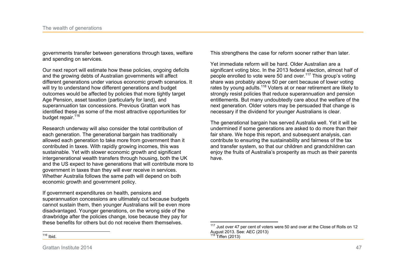governments transfer between generations through taxes, welfare and spending on services.

Our next report will estimate how these policies, ongoing deficits and the growing debts of Australian governments will affect different generations under various economic growth scenarios. It will try to understand how different generations and budget outcomes would be affected by policies that more tightly target Age Pension, asset taxation (particularly for land), and superannuation tax concessions. Previous Grattan work has identified these as some of the most attractive opportunities for budget repair.<sup>116</sup>

Research underway will also consider the total contribution of each generation. The generational bargain has traditionally allowed each generation to take more from government than it contributed in taxes. With rapidly growing incomes, this was sustainable. Yet with slower economic growth and significant intergenerational wealth transfers through housing, both the UK and the US expect to have generations that will contribute more to government in taxes than they will ever receive in services. Whether Australia follows the same path will depend on both economic growth and government policy.

If government expenditures on health, pensions and superannuation concessions are ultimately cut because budgets cannot sustain them, then younger Australians will be even more disadvantaged. Younger generations, on the wrong side of the drawbridge after the policies change, lose because they pay for these benefits for others but do not receive them themselves.

This strengthens the case for reform sooner rather than later.

Yet immediate reform will be hard. Older Australian are a significant voting bloc. In the 2013 federal election, almost half of people enrolled to vote were 50 and over.<sup>117</sup> This group's voting share was probably above 50 per cent because of lower voting rates by young adults.<sup>118</sup> Voters at or near retirement are likely to strongly resist policies that reduce superannuation and pension entitlements. But many undoubtedly care about the welfare of the next generation. Older voters may be persuaded that change is necessary if the dividend for younger Australians is clear.

The generational bargain has served Australia well. Yet it will be undermined if some generations are asked to do more than their fair share. We hope this report, and subsequent analysis, can contribute to ensuring the sustainability and fairness of the tax and transfer system, so that our children and grandchildren can enjoy the fruits of Australia's prosperity as much as their parents have.

 $117$  Just over 47 per cent of voters were 50 and over at the Close of Rolls on 12 August 2013. See: AEC (2013)  $118$  Tiffen (2013)

 $\frac{1}{2}$ <sup>116</sup> Ibid.

Grattan Institute 2014 47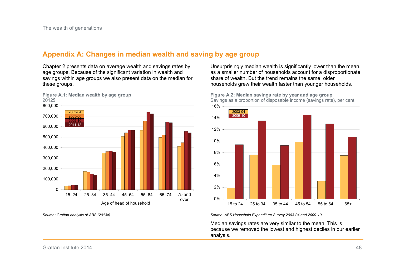## **Appendix A: Changes in median wealth and saving by age group**

Chapter 2 presents data on average wealth and savings rates by age groups. Because of the significant variation in wealth and savings within age groups we also present data on the median for these groups.



*Source: Grattan analysis of ABS (2013c)* 

Unsurprisingly median wealth is significantly lower than the mean, as a smaller number of households account for a disproportionate share of wealth. But the trend remains the same: older households grew their wealth faster than younger households.



**Figure A.2: Median savings rate by year and age group**  Savings as a proportion of disposable income (savings rate), per cent

*Source: ABS Household Expenditure Survey 2003-04 and 2009-10* 

Median savings rates are very similar to the mean. This is because we removed the lowest and highest deciles in our earlier analysis.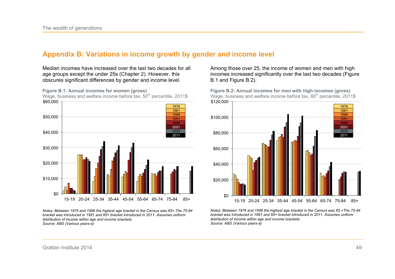## **Appendix B: Variations in income growth by gender and income level**

Median incomes have increased over the last two decades for all age groups except the under 25s (Chapter 2). However, this obscures significant differences by gender and income level.

**Figure B.1: Annual incomes for women (gross)** 

Wage, business and welfare income before tax,  $50<sup>th</sup>$  percentile, 2011\$ \$0 \$10,000 \$20,000 \$30,000 \$40,000 \$50,000 \$60,000 15-19 20-24 25-34 35-44 45-54 55-64 65-74 75-84 85+ 1976 1981 1986 1991 1996 2001 2006 2011

*Notes: Between 1976 and 1986 the highest age bracket in the Census was 65+.The 75-84 bracket was introduced in 1991 and 85+ bracket introduced in 2011. Assumes uniform distribution of income within age and income brackets. Source: ABS (Various years-a)* 

Among those over 25, the income of women and men with high incomes increased significantly over the last two decades (Figure B.1 and Figure B.2).

**Figure B.2: Annual incomes for men with high incomes (gross)**  Wage, business and welfare income before tax,  $80<sup>th</sup>$  percentile, 2011\$



*Notes: Between 1976 and 1986 the highest age bracket in the Census was 65.+The 75-84 bracket was introduced in 1991 and 85+ bracket introduced in 2011. Assumes uniform distribution of income within age and income brackets. Source: ABS (Various years-a)*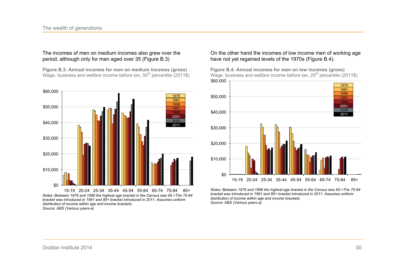#### The incomes of men on medium incomes also grew over the period, although only for men aged over 35 (Figure B.3)

**Figure B.3: Annual incomes for men on medium incomes (gross)**  Wage, business and welfare income before tax,  $50<sup>th</sup>$  percentile (2011\$)



*Notes: Between 1976 and 1986 the highest age bracket in the Census was 65.+The 75-84 bracket was introduced in 1991 and 85+ bracket introduced in 2011. Assumes uniform distribution of income within age and income brackets. Source: ABS (Various years-a)* 

On the other hand the incomes of low income men of working age have not yet regained levels of the 1970s (Figure B.4).

**Figure B.4: Annual incomes for men on low incomes (gross)**  Wage, business and welfare income before tax,  $20<sup>th</sup>$  percentile (2011\$)



*Notes: Between 1976 and 1986 the highest age bracket in the Census was 65.+The 75-84 bracket was introduced in 1991 and 85+ bracket introduced in 2011. Assumes uniform distribution of income within age and income brackets. Source: ABS (Various years-a)*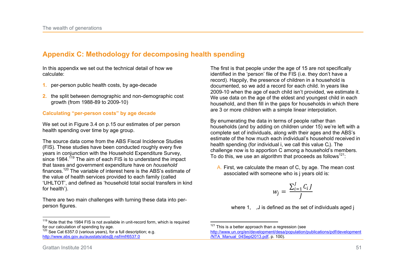## **Appendix C: Methodology for decomposing health spending**

In this appendix we set out the technical detail of how we calculate:

- **1.** per-person public health costs, by age-decade
- **2.** the split between demographic and non-demographic cost growth (from 1988-89 to 2009-10)

#### **Calculating "per-person costs" by age decade**

We set out in Figure 3.4 on p.15 our estimates of per person health spending over time by age group.

The source data come from the ABS Fiscal Incidence Studies (FIS). These studies have been conducted roughly every five years in conjunction with the Household Expenditure Survey, since 1984.<sup> $119$ </sup> The aim of each FIS is to understand the impact that taxes and government expenditure have on *household*  finances.<sup>120</sup> The variable of interest here is the ABS's estimate of the value of health services provided to each family (called 'UHLTOT', and defined as 'household total social transfers in kind for health').

There are two main challenges with turning these data into perperson figures.

 $119$  Note that the 1984 FIS is not available in unit-record form, which is required for our calculation of spending by age.

The first is that people under the age of 15 are not specifically identified in the 'person' file of the FIS (i.e. they don't have a record). Happily, the presence of children in a household is documented, so we add a record for each child. In years like 2009-10 when the age of each child isn't provided, we estimate it. We use data on the age of the eldest and youngest child in each household, and then fill in the gaps for households in which there are 3 or more children with a simple linear interpolation.

By enumerating the data in terms of people rather than households (and by adding on children under 15) we're left with a complete set of individuals, along with their ages and the ABS's estimate of the how much each individual's household received in health spending (for individual i, we call this value Ci). The challenge now is to apportion C among a household's members. To do this, we use an algorithm that proceeds as follows<sup>121</sup>:

A. First, we calculate the mean of C, by age. The mean cost associated with someone who is j years old is:

$$
w_j = \frac{\sum_{i=1}^J C_i J}{J}
$$

where 1, , J is defined as the set of individuals aged j

 $\overline{a}$ 

 $\frac{1}{1}$ 

 $120$  See Cat 6357.0 (various years), for a full description; e.g. http://www.abs.gov.au/ausstats/abs@.nsf/mf/6537.0

 $121$  This is a better approach than a regression (see

http://www.un.org/en/development/desa/population/publications/pdf/development /NTA\_Manual\_04Sept2013.pdf, p. 100).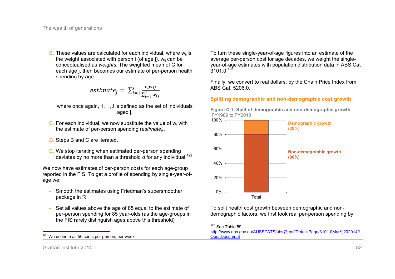B. These values are calculated for each individual, where  $w_{ii}$  is the weight associated with person  $i$  (of age  $j$ ).  $w_{ii}$  can be conceptualised as *weights*. The weighted mean of C for each age j, then becomes our estimate of per-person health spending by age:

*estimate*<sub>j</sub> = 
$$
\sum_{i=1}^{J} \frac{c_i w_{ij}}{\sum_{i=1}^{J} w_{ij}}
$$

where once again, 1, ..., J is defined as the set of individuals aged j.

- C. For each individual, we now substitute the value of  $w_i$  with the estimate of per-person spending (*estimatei)*.
- D. Steps B and C are iterated.
- E. We stop iterating when estimated per-person spending deviates by no more than a threshold *d* for any individual.<sup>122</sup>

We now have estimates of per-person costs for each age-group reported in the FIS. To get a profile of spending by single-year-ofage we:

- Smooth the estimates using Friedman's supersmoother package in R
- Set all values above the age of 85 equal to the estimate of per-person spending for 85 year-olds (as the age-groups in the FIS rarely distinguish ages above this threshold)

To turn these single-year-of-age figures into an estimate of the average per-person cost for age decades, we weight the singleyear-of-age estimates with population distribution data in ABS Cat  $3101.0.<sup>123</sup>$ 

Finally, we convert to real dollars, by the Chain Price Index from ABS Cat. 5206.0.

#### **Splitting demographic and non-demographic cost growth**

**Figure C.1: Split of demographic and non-demographic growth**  FY1989 to FY2010



To split health cost growth between demographic and nondemographic factors, we first took real per-person spending by

 $\overline{a}$  $123$  See Table 59:

Grattan Institute 2014 52

 $\frac{1}{2}$ <sup>122</sup> We define *d* as 50 cents per person, per week.

http://www.abs.gov.au/AUSSTATS/abs@.nsf/DetailsPage/3101.0Mar%202014? **OpenDocument**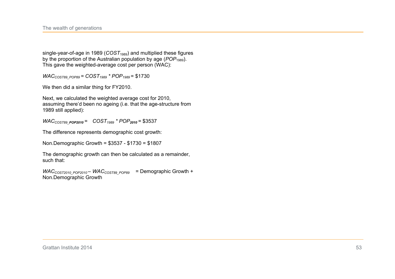single-year-of-age in 1989 (*COST*<sub>1989</sub>) and multiplied these figures by the proportion of the Australian population by age (*POP*<sub>1989</sub>). This gave the weighted-average cost per person (WAC):

*WACCOST89\_POP89 = COST1989 \* POP1989* = \$1730

We then did a similar thing for FY2010.

Next, we calculated the weighted average cost for 2010, assuming there'd been no ageing (i.e. that the age-structure from 1989 still applied):

*WACCOST89\_POP2010 = COST1989 \* POP<sup>2010</sup> =* \$3537

The difference represents demographic cost growth:

Non.Demographic Growth = \$3537 - \$1730 = \$1807

The demographic growth can then be calculated as a remainder, such that:

*WAC*<sub>COST2010</sub> <sub>POP2010</sub> – *WAC*<sub>COST89</sub> <sub>POP89</sub> = Demographic Growth + Non.Demographic Growth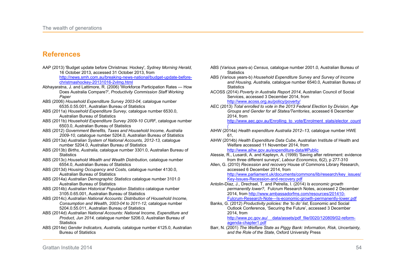## **References**

| AAP (2013) 'Budget update before Christmas: Hockey', S <i>ydney Morning Herald,</i><br>16 October 2013, accessed 31 October 2013, from |
|----------------------------------------------------------------------------------------------------------------------------------------|
| http://news.smh.com.au/breaking-news-national/budget-update-before-                                                                    |
| christmashockey-20131016-2vlmg.html                                                                                                    |
| Abhayaratna, J. and Lattimore, R. (2006) 'Workforce Participation Rates - How                                                          |
| Does Australia Compare?', Productivity Commission Staff Working<br>Paper                                                               |
| ABS (2006) Household Expenditure Survey 2003-04, catalogue number                                                                      |
| 6535.0.55.001, Australian Bureau of Statistics                                                                                         |
| ABS (2011a) Household Expenditure Survey, catalogue number 6530.0,                                                                     |
| <b>Australian Bureau of Statistics</b>                                                                                                 |
| ABS (2011b) Household Expenditure Survey 2009-10 CURF, catalogue number                                                                |
| 6503.0, Australian Bureau of Statistics                                                                                                |
| ABS (2012) Government Benefits, Taxes and Household Income, Australia                                                                  |
| 2009-10, catalogue number 5204.0, Australian Bureau of Statistics                                                                      |
| ABS (2013a) Australian System of National Accounts, 2012-13, catalogue                                                                 |
| number 5204.0, Australian Bureau of Statistics                                                                                         |
| ABS (2013b) <i>Births, Australia, catalogue number</i> 3301.0, Australian Bureau of                                                    |
| <b>Statistics</b>                                                                                                                      |
| ABS (2013c) Household Wealth and Wealth Distribution, catalogue number                                                                 |
| 6554.0, Australian Bureau of Statistics                                                                                                |
| ABS (2013d) Housing Occupancy and Costs, catalogue number 4130.0,                                                                      |
| <b>Australian Bureau of Statistics</b>                                                                                                 |
| ABS (2014a) Australian Demographic Statistics catalogue number 3101.0                                                                  |
| <b>Australian Bureau of Statistics</b>                                                                                                 |
| ABS (2014b) Australian Historical Population Statistics catalogue number                                                               |
| 3105.0.65.001, Australian Bureau of Statistics                                                                                         |
| ABS (2014c) Australian National Accounts: Distribution of Household Income,                                                            |
| Consumption and Wealth, 2003-04 to 2011-12, catalogue number                                                                           |
| 5204.0.55.011, Australian Bureau of Statistics                                                                                         |
| ABS (2014d) Australian National Accounts: National Income, Expenditure and                                                             |
| Product, Jun 2014, catalogue number 5206.0, Australian Bureau of                                                                       |
| <b>Statistics</b>                                                                                                                      |
| ABS (2014e) Gender Indicators, Australia, catalogue number 4125.0, Australian                                                          |
| <b>Bureau of Statistics</b>                                                                                                            |

- ABS (Various years-a) *Census,* catalogue number 2001.0, Australian Bureau of **Statistics**
- ABS (Various years-b) *Household Expenditure Survey and Survey of Income and Housing, Australia,* catalogue number 6540.0, Australian Bureau of **Statistics**
- ACOSS (2014) *Poverty in Australia Report 2014*, Australian Council of Social Services, accessed 3 December 2014, from http://www.acoss.org.au/policy/poverty/
- AEC (2013) *Total enrolled to vote in the 2013 Federal Election by Division, Age Groups and Gender for all States/Territories*, accessed 6 December 2014, from

http://www.aec.gov.au/Enrolling\_to\_vote/Enrolment\_stats/elector\_count

- / AIHW (2014a) *Health expenditure Australia 2012–13,* catalogue number HWE 61,
- AIHW (2014b) *Health Expenditure Data Cube*, Australian Institute of Health and Welfare accessed 11 November 2014, from

http://www.aihw.gov.au/expenditure-data/#Public

- Alessie, R., Lusardi, A. and Kapteyn, A. (1999) 'Saving after retirement: evidence from three different surveys', *Labour Economics*, 6(2), p 277-310
- Allen, G. (2010) *Recession and recovery* House of Commons Library Research, accessed 6 December 2014, from

http://www.parliament.uk/documents/commons/lib/research/key\_issues/ Key-Issues-Recession-and-recovery.pdf

- Antolin-Diaz, J., Drechsel, T. and Petrella, I. (2014) *Is economic growth permanently lower?*, Fulcrum Research Notes, accessed 2 December 2014, from http://www.ambassadorfms.com/resources/201410- Fulcrum-Research-Note---Is-economic-growth-permanently-lower.pdf
- Banks, G. (2012) *Productivity policies: the 'to do' list*, Economic and Social Outlook Conference, 'Securing the Future', accessed 3 December 2014, from http://www.pc.gov.au/ data/assets/pdf\_file/0020/120809/02-reformagenda-chapter1.pdf
- Barr, N. (2001) *The Welfare State as Piggy Bank: Information, Risk, Uncertainty, and the Role of the State*, Oxford University Press

Grattan Institute 2014 54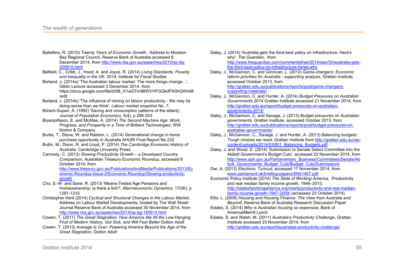- Battellino, R. (2010) *Twenty Years of Economic Growth*, Address to Moreton Bay Regional Council, Reserve Bank of Australia accessed 6 December 2014, from http://www.rba.gov.au/speeches/2010/sp-dg-200810.html
- Belfield, C., Cribb, J., Hood, A. and Joyce, R. (2014) *Living Standards, Poverty and Inequality in the UK: 2014*, Insttiute for Fiscal Studies
- Borland, J. (2014a) 'The Australian labour market: The more things change...', Giblin Lecture accessed 3 December 2014, from https://docs.google.com/file/d/0B\_H1wGTm98W3YlFGQkdFN3hQWmM /edit
- Borland, J. (2014b) 'The influence of mining on labour productivity We may be doing worse than we think', *Labour market snapshot No. 7*,
- Börsch-Supan, A. (1992) 'Saving and consumption patterns of the elderly', *Journal of Population Economics*, 5(4), p 289-303
- Bryanjolfsson, E. and McAfee, A. (2014) *The Second Machine Age: Work, Progress, and Prosperity in a Time of Brilliant Technologies*, WW Norton & Company
- Burke, T., Stone, W. and Ralston, L. (2014) *Generational change in home purchase opportunity in Australia* AHURI Final Report No 232
- Butlin, M., Dixon, R. and Lloyd, P. (2014) *The Cambridge Economic History of Australia*, Cambridge University Press
- Carmody, C. (2013) *Slowing Productivity Growth a Developed Country Comparison*, Australian Treasury Economic Roundup, accessed 6 October 2014, from

http://www.treasury.gov.au/PublicationsAndMedia/Publications/2013/Ec onomic-Roundup-Issue-2/Economic-Roundup/Slowing-productivitygrowth

- Cho, S.-W. and Sane, R. (2013) 'Means-Tested Age Pensions and Homeownership: Is there a link?', *Macroeconomic Dynamics*, 17(06), p 1281-1310
- Christopher Kent (2014) *Cyclical and Structural Changes in the Labour Market*, Address on Labour Market Developments, hosted by The Wall Street Journal Reserve Bank of Australia accessed 30 November 2014, from http://www.rba.gov.au/speeches/2014/sp-ag-160614.html
- Cowen, T. (2011) *The Great Stagnation: How America Ate All the Low-Hanging Fruit of Modern History, Got Sick, and Will Feel Better Dutton Adult*
- Cowen, T. (2013) *Average Is Over: Powering America Beyond the Age of the Great Stagnation*, Dutton Adult
- Daley, J. (2014) 'Australia gets the third-best policy on infrastructure. Here's why', *The Guardian,* from http://www.theguardian.com/commentisfree/2014/sep/30/australia-getsthe-third-best-policy-on-infrastructure-heres-why
- Daley, J., McGannon, C. and Ginnivan, L. (2012) *Game-changers: Economic reform priorities for Australia - supporting analysis*, Grattan Institute, accessed October 2013, from http://grattan.edu.au/publications/reports/post/game-changerssupporting-materials/
- Daley, J., McGannon, C. and Hunter, A. (2014) *Budget Pressures on Australian Governments 2014* Grattan Institute accessed 21 November 2014, from http://grattan.edu.au/report/budget-pressures-on-australiangovernments-2014/
- Daley, J., McGannon, C. and Savage, J. (2013) *Budget pressures on Australian governments*, Grattan Institute, accessed October 2013, from http://grattan.edu.au/publications/reports/post/budget-pressures-onaustralian-governments/
- Daley, J., McGannon, C., Savage, J. and Hunter, A. (2013) *Balancing budgets: Tough choices we need*, Grattan Institute from http://grattan.edu.au/wpcontent/uploads/2014/03/801\_Balancing\_Budgets.pdf
- Daley, J. and Wood, D. (2014) 'Submission to Senate Select Committee into the Abbott Government's Budget Cuts', accessed 22 November 2014, from http://www.aph.gov.au/Parliamentary\_Business/Committees/Senate/Ab bott Governments\_Budget\_Cuts/Budget\_Cuts/Submissions
- Dar, A. (2013) *Elections: Turnout*, accessed 17 November 2014, from www.parliament.uk/briefing-papers/SN01467.pdf
- Economic Policy Institute (2014) *The State of Working America*, Productivity and real median family income growth, 1948–2013, http://stateofworkingamerica.org/charts/productivity-and-real-medianfamily-income-growth-1947-2009/ (accessed 23 October 2014).
- Ellis, L. (2006) *Housing and Housing Finance: The View from Australia and Beyond*, Reserve Bank of Australia Research Discussion Paper
- Eslake, S. (2014) *Why is Australian housing so expensive,* Bank of America/Merrill Lynch
- Eslake, S. and Walsh, M. (2011) *Australia's Productivity Challenge*, Grattan Institute accessed 25 November 2014, from http://grattan.edu.au/report/australias-productivity-challenge/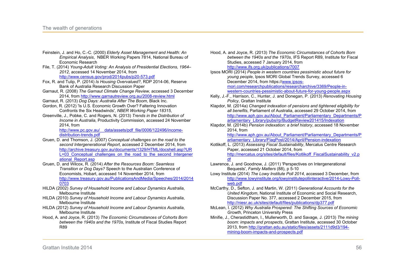- Feinstein, J. and Ho, C.-C. (2000) *Elderly Asset Management and Health: An Empirical Analysis*, NBER Working Papers 7814, National Bureau of Economic Research
- File, T. (2014) *Young-Adult Voting: An Analysis of Presidential Elections, 1964– 2012*, accessed 14 November 2014, from

http://www.census.gov/prod/2014pubs/p20-573.pdf

- Fox, R. and Tulip, P. (2014) *Is Housing Overvalued?*, RDP 2014-06, Reserve Bank of Australia Research Discussion Paper
- Garnaut, R. (2008) *The Garnaut Climate Change Review,* accessed 3 December 2014, from http://www.garnautreview.org.au/2008-review.html
- Garnaut, R. (2013) *Dog Days: Australia After The Boom*, Black Inc.
- Gordon, R. (2012) 'Is U.S. Economic Growth Over? Faltering Innovation Confronts the Six Headwinds', *NBER Working Paper 18315*,
- Greenville, J., Pobke, C. and Rogers, N. (2013) *Trends in the Distribution of Income in Australia*, Productivity Commission, accessed 24 November 2014, from

http://www.pc.gov.au/ data/assets/pdf\_file/0006/122496/incomedistribution-trends.pdf

- Gruen, D. and Thomson, J. (2007) *Conceptual challenges on the road to the second Intergenerational Report*, accessed 2 December 2014, from http://archive.treasury.gov.au/documents/1329/HTML/docshell.asp?UR L=03 Conceptual challenges on the road to the second Intergener ational Report.asp
- Gruen, D. and Wilcox, R. (2014) *After the Resources Boom: Seamless Transition or Dog Days?* Speech to the Australian Conference of Economists, Hobart, accessed 14 November 2014, from http://www.treasury.gov.au/PublicationsAndMedia/Speeches/2014/2014 0703
- HILDA (2002) *Survey of Household Income and Labour Dynamics Australia*, Melbourne Institute
- HILDA (2010) *Survey of Household Income and Labour Dynamics Australia*, Melbourne Institute
- HILDA (2012) *Survey of Household Income and Labour Dynamics Australia*, Melbourne Institute
- Hood, A. and Joyce, R. (2013) *The Economic Circumstances of Cohorts Born between the 1940s and the 1970s*, Institute of Fiscal Studies Report R89

Hood, A. and Joyce, R. (2013) *The Economic Circumstances of Cohorts Born between the 1940s and the 1970s*, IFS Report R89, Institute for Fiscal Studies, accessed 7 January 2014, from http://www.ifs.org.uk/publications/7007

Ipsos MORI (2014) *People in western countries pessimistic about future for young people*, Ipsos MORI Global Trends Survey, accessed 6 December 2014, from https://www.ipsosmori.com/researchpublications/researcharchive/3369/People-inwestern-countries-pessimistic-about-future-for-young-people.aspx

- Kelly, J.-F., Harrison, C., Hunter, J. and Donegan, P. (2013) *Renovating Housing Policy*, Grattan Institute
- Klapdor, M. (2014a) *Changed indexation of pensions and tightened eligibility for all benefits*, Parliament of Australia, accessed 29 October 2014, from http://www.aph.gov.au/About\_Parliament/Parliamentary\_Departments/P arliamentary\_Library/pubs/rp/BudgetReview201415/Indexation
- Klapdor, M. (2014b) *Pension indexation: a brief history*, accessed 18 November 2014, from

http://www.aph.gov.au/About\_Parliament/Parliamentary\_Departments/P arliamentary\_Library/FlagPost/2014/April/Pension-indexation

- Kotlikoff, L. (2013) *Assessing Fiscal Sustainability*, Mercatus Centre Research Paper, accessed 21 October 2014, from http://mercatus.org/sites/default/files/Kotlikoff\_FiscalSustainability\_v2.p <u>df</u>
- Lawrence, J. and Goodnow, J. (2011) 'Perspectives on Intergenerational Bequests', *Family Matters* (88), p 5-10
- Lowy Institute (2014) *The Lowy Institute Poll 2014*, accessed 3 December, from http://www.lowyinstitute.org/lowyinstitutepollinteractive/2014-Lowy-Pollweb.pdf
- McCarthy, D., Sefton, J. and Martin, W. (2011) *Generational Accounts for the United Kingdom*, National Institute of Economic and Social Research, Discussion Paper No. 377, accessed 2 December 2015, from http://niesr.ac.uk/sites/default/files/publications/dp377.pdf
- McLean, I. (2012) *Why Australia Prospered: The Shifting Sources of Economic Growth*, Princeton University Press
- Minifie, J., Cherastidtham, I., Mullerworth, D. and Savage, J. (2013) *The mining boom: impacts and prospects*, Grattan Institute, accessed 30 October 2013, from http://grattan.edu.au/static/files/assets/2111d9d3/194 mining-boom-impacts-and-prospects.pdf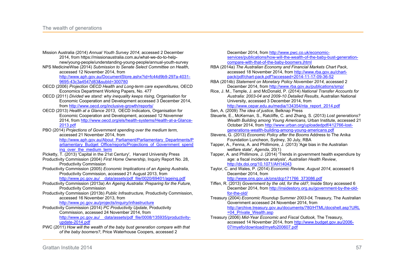- Mission Australia (2014) *Annual Youth Survey 2014*, accessed 2 December 2014, from https://missionaustralia.com.au/what-we-do-to-helpnew/young-people/understanding-young-people/annual-youth-survey
- NPS MedicineWise (2014) *Submission to Senate Select Committee on Health*, accessed 12 November 2014, from http://www.aph.gov.au/DocumentStore.ashx?id=fc44d9b9-297a-4031-

9695-43c3a4547d83&subId=300780

- OECD (2006) *Projection OECD Health and Long-term care expenditures*, OECD Economics Department Working Papers, No. 477
- OECD (2011) *Divided we stand: why inequality keeps rising,* Organisation for Economic Cooperation and Development accessed 3 December 2014, from http://www.oecd.org/inclusive-growth/reports/
- OECD (2013) *Health at a Glance 2013*, OECD Indicators, Organisation for Economic Cooperation and Development, accessed 12 Novemner 2014, from http://www.oecd.org/els/health-systems/Health-at-a-Glance-2013.pdf
- PBO (2014) *Projections of Government spending over the medium term*, accessed 21 November 2014, from http://www.aph.gov.au/About\_Parliament/Parliamentary\_Departments/P arliamentary\_Budget\_Office/reports/Projections\_of\_Government\_spend ing\_over\_the\_medium\_term
- Picketty, T. (2013) 'Capital in the 21st Century', Harvard University Press
- Productivity Commission (2004) *First Home Ownership*, Inquiry Report No. 28, Productivity Commission
- Productivity Commission (2005) *Economic Implications of an Ageing Australia*, Productivity Commission, accessed 21 August 2013, from
	- http://www.pc.gov.au/\_\_data/assets/pdf\_file/0020/69401/ageing.pdf
- Productivity Commission (2013a) *An Ageing Australia: Preparing for the Future*, Productivity Commission
- Productivity Commission (2013b) *Public Infrastructure,* Productivity Commission, accessed 16 November 2013, from

http://www.pc.gov.au/projects/inquiry/infrastructure

- Productivity Commission (2014) *PC Productivity Update,* Productivity Commission, accessed 24 November 2014, from http://www.pc.gov.au/\_\_data/assets/pdf\_file/0008/135935/productivityupdate-2014.pdf
- PWC (2011) *How will the wealth of the baby bust generation compare with that of the baby boomers?*, Price Waterhouse Coopers, accessed 2

December 2014, from http://www.pwc.co.uk/economicservices/publications/how-will-the-wealth-of-the-baby-bust-generationcompare-with-that-of-the-baby-boomers.jhtml

- RBA (2014a) *The Australian Economy and Financial Markets Chart Pack*, accessed 18 November 2014, from http://www.rba.gov.au/chartpack/pdf/chart-pack.pdf?accessed=2014-11-17-09-36-52
- RBA (2014b) *Statement on Monetary Policy November 2014*, accessed 2 December 2014, from http://www.rba.gov.au/publications/smp/
- Rice, J. M., Temple, J. and McDonald, P. (2014) *National Transfer Accounts for Australia: 2003-04 and 2009-10 Detailed Results*, Australian National University, accessed 3 December 2014, from http://www.cepar.edu.au/media/134354/nta\_report\_2014.pdf

Sen, A. (2009) *The idea of justice*, Belknap Press

Steuerle, E., McKernan, S., Ratcliffe, C. and Zhang, S. (2013) *Lost generations? Wealth Building among Young Americans*, Urban Institute, accessed 21 October 2014, from http://www.urban.org/uploadedpdf/412766-lostgenerations-wealth-building-among-young-americans.pdf

- Stevens, G. (2013) *Economic Policy after the Booms* Address to The Anika Foundation Luncheon, Sydney, 30 July, RBA
- Tapper, A., Fenna, A. and Phillimore, J. (2013) 'Age bias in the Australian welfare state', *Agenda*, 20(1)
- Tapper, A. and Phillimore, J. (2014) 'Trends in government health expendiure by age: a fiscal incidence analysis', *Australian Health Review*, http://dx.doi.org/10.1071/AH14043
- Taylor, C. and Wales, P. (2014) *Economic Review, August 2014*, accessed 6 December 2014, from

http://www.ons.gov.uk/ons/dcp171766\_373086.pdf

- Tiffen, R. (2013) *Government by the old, for the old?*, Inside Story accessed 6 December 2014, from http://insidestory.org.au/government-by-the-oldfor-the-old/
- Treasury (2004) *Economic Roundup Summer 2003-04,* Treasury, The Australian Government accessed 24 November 2014, from http://archive.treasury.gov.au/documents/780/HTML/docshell.asp?URL =04\_Private\_Wealth.asp
- Treasury (2006) *Mid-Year Economic and Fiscal Outlook,* The Treasury, accessed 14 November 2014, from http://www.budget.gov.au/2006- 07/myefo/download/myefo200607.pdf